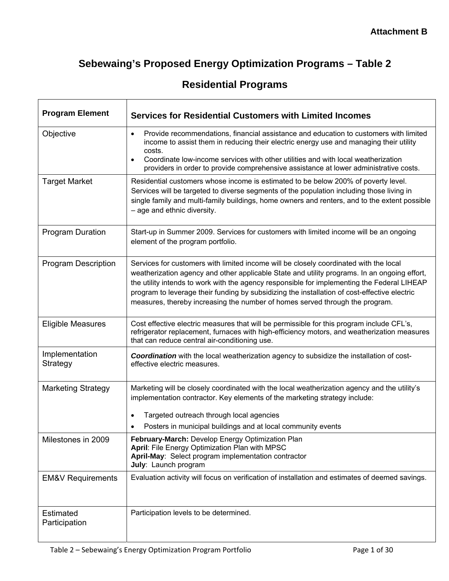# **Sebewaing's Proposed Energy Optimization Programs – Table 2**

|  | <b>Residential Programs</b> |  |
|--|-----------------------------|--|
|  |                             |  |

 $\mathsf{r}$ 

| <b>Program Element</b>       | <b>Services for Residential Customers with Limited Incomes</b>                                                                                                                                                                                                                                                                                                                                                                                                       |
|------------------------------|----------------------------------------------------------------------------------------------------------------------------------------------------------------------------------------------------------------------------------------------------------------------------------------------------------------------------------------------------------------------------------------------------------------------------------------------------------------------|
| Objective                    | Provide recommendations, financial assistance and education to customers with limited<br>$\bullet$<br>income to assist them in reducing their electric energy use and managing their utility<br>costs.<br>Coordinate low-income services with other utilities and with local weatherization<br>$\bullet$<br>providers in order to provide comprehensive assistance at lower administrative costs.                                                                    |
| <b>Target Market</b>         | Residential customers whose income is estimated to be below 200% of poverty level.<br>Services will be targeted to diverse segments of the population including those living in<br>single family and multi-family buildings, home owners and renters, and to the extent possible<br>- age and ethnic diversity.                                                                                                                                                      |
| <b>Program Duration</b>      | Start-up in Summer 2009. Services for customers with limited income will be an ongoing<br>element of the program portfolio.                                                                                                                                                                                                                                                                                                                                          |
| <b>Program Description</b>   | Services for customers with limited income will be closely coordinated with the local<br>weatherization agency and other applicable State and utility programs. In an ongoing effort,<br>the utility intends to work with the agency responsible for implementing the Federal LIHEAP<br>program to leverage their funding by subsidizing the installation of cost-effective electric<br>measures, thereby increasing the number of homes served through the program. |
| <b>Eligible Measures</b>     | Cost effective electric measures that will be permissible for this program include CFL's,<br>refrigerator replacement, furnaces with high-efficiency motors, and weatherization measures<br>that can reduce central air-conditioning use.                                                                                                                                                                                                                            |
| Implementation<br>Strategy   | Coordination with the local weatherization agency to subsidize the installation of cost-<br>effective electric measures.                                                                                                                                                                                                                                                                                                                                             |
| <b>Marketing Strategy</b>    | Marketing will be closely coordinated with the local weatherization agency and the utility's<br>implementation contractor. Key elements of the marketing strategy include:<br>Targeted outreach through local agencies<br>Posters in municipal buildings and at local community events                                                                                                                                                                               |
| Milestones in 2009           | February-March: Develop Energy Optimization Plan<br>April: File Energy Optimization Plan with MPSC<br>April-May: Select program implementation contractor<br>July: Launch program                                                                                                                                                                                                                                                                                    |
| <b>EM&amp;V Requirements</b> | Evaluation activity will focus on verification of installation and estimates of deemed savings.                                                                                                                                                                                                                                                                                                                                                                      |
| Estimated<br>Participation   | Participation levels to be determined.                                                                                                                                                                                                                                                                                                                                                                                                                               |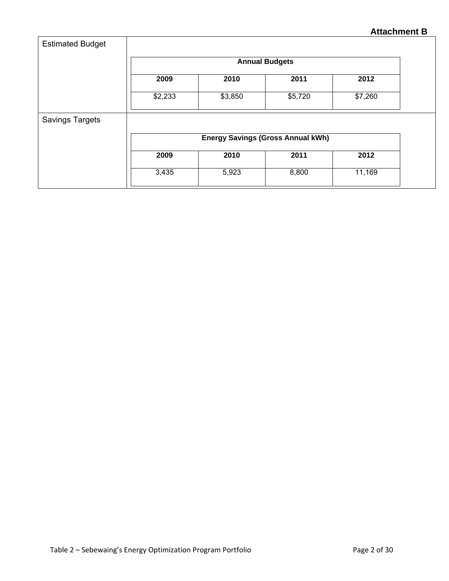| <b>Estimated Budget</b> |                                          |                       |         |         |  |  |
|-------------------------|------------------------------------------|-----------------------|---------|---------|--|--|
|                         |                                          | <b>Annual Budgets</b> |         |         |  |  |
|                         | 2009                                     | 2010                  | 2011    | 2012    |  |  |
|                         | \$2,233                                  | \$3,850               | \$5,720 | \$7,260 |  |  |
| <b>Savings Targets</b>  |                                          |                       |         |         |  |  |
|                         | <b>Energy Savings (Gross Annual kWh)</b> |                       |         |         |  |  |
|                         | 2009                                     | 2010                  | 2011    | 2012    |  |  |
|                         | 3,435                                    | 5,923                 | 8,800   | 11,169  |  |  |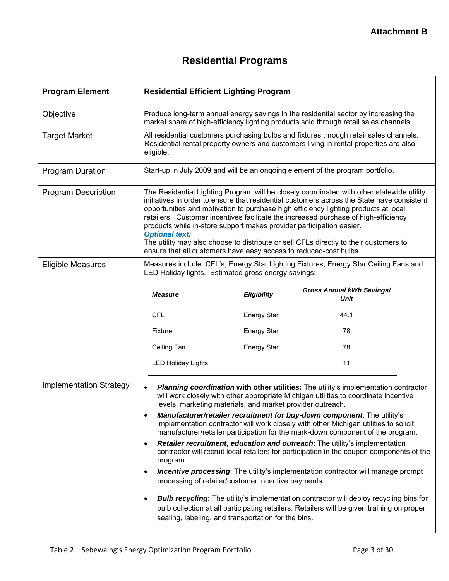# **Residential Programs**

| <b>Program Element</b>         | <b>Residential Efficient Lighting Program</b>                                                                                                                                                                                                                                                                                                                                                                                                                                                                                                                                                                                        |                    |                                                                                                                                                                                                                                                    |  |  |
|--------------------------------|--------------------------------------------------------------------------------------------------------------------------------------------------------------------------------------------------------------------------------------------------------------------------------------------------------------------------------------------------------------------------------------------------------------------------------------------------------------------------------------------------------------------------------------------------------------------------------------------------------------------------------------|--------------------|----------------------------------------------------------------------------------------------------------------------------------------------------------------------------------------------------------------------------------------------------|--|--|
| Objective                      | Produce long-term annual energy savings in the residential sector by increasing the<br>market share of high-efficiency lighting products sold through retail sales channels.                                                                                                                                                                                                                                                                                                                                                                                                                                                         |                    |                                                                                                                                                                                                                                                    |  |  |
| <b>Target Market</b>           | All residential customers purchasing bulbs and fixtures through retail sales channels.<br>Residential rental property owners and customers living in rental properties are also<br>eligible.                                                                                                                                                                                                                                                                                                                                                                                                                                         |                    |                                                                                                                                                                                                                                                    |  |  |
| <b>Program Duration</b>        |                                                                                                                                                                                                                                                                                                                                                                                                                                                                                                                                                                                                                                      |                    | Start-up in July 2009 and will be an ongoing element of the program portfolio.                                                                                                                                                                     |  |  |
| <b>Program Description</b>     | The Residential Lighting Program will be closely coordinated with other statewide utility<br>initiatives in order to ensure that residential customers across the State have consistent<br>opportunities and motivation to purchase high efficiency lighting products at local<br>retailers. Customer incentives facilitate the increased purchase of high-efficiency<br>products while in-store support makes provider participation easier.<br><b>Optional text:</b><br>The utility may also choose to distribute or sell CFLs directly to their customers to<br>ensure that all customers have easy access to reduced-cost bulbs. |                    |                                                                                                                                                                                                                                                    |  |  |
| <b>Eligible Measures</b>       | LED Holiday lights. Estimated gross energy savings:                                                                                                                                                                                                                                                                                                                                                                                                                                                                                                                                                                                  |                    | Measures include: CFL's, Energy Star Lighting Fixtures, Energy Star Ceiling Fans and                                                                                                                                                               |  |  |
|                                | <b>Measure</b>                                                                                                                                                                                                                                                                                                                                                                                                                                                                                                                                                                                                                       | <b>Eligibility</b> | <b>Gross Annual kWh Savings/</b><br>Unit                                                                                                                                                                                                           |  |  |
|                                | <b>CFL</b>                                                                                                                                                                                                                                                                                                                                                                                                                                                                                                                                                                                                                           | <b>Energy Star</b> | 44.1                                                                                                                                                                                                                                               |  |  |
|                                | Fixture                                                                                                                                                                                                                                                                                                                                                                                                                                                                                                                                                                                                                              | <b>Energy Star</b> | 78                                                                                                                                                                                                                                                 |  |  |
|                                | Ceiling Fan                                                                                                                                                                                                                                                                                                                                                                                                                                                                                                                                                                                                                          | <b>Energy Star</b> | 78                                                                                                                                                                                                                                                 |  |  |
|                                | <b>LED Holiday Lights</b>                                                                                                                                                                                                                                                                                                                                                                                                                                                                                                                                                                                                            |                    | 11                                                                                                                                                                                                                                                 |  |  |
| <b>Implementation Strategy</b> | Planning coordination with other utilities: The utility's implementation contractor<br>will work closely with other appropriate Michigan utilities to coordinate incentive<br>levels, marketing materials, and market provider outreach.                                                                                                                                                                                                                                                                                                                                                                                             |                    |                                                                                                                                                                                                                                                    |  |  |
|                                | $\bullet$                                                                                                                                                                                                                                                                                                                                                                                                                                                                                                                                                                                                                            |                    | Manufacturer/retailer recruitment for buy-down component. The utility's<br>implementation contractor will work closely with other Michigan utilities to solicit<br>manufacturer/retailer participation for the mark-down component of the program. |  |  |
|                                | Retailer recruitment, education and outreach: The utility's implementation<br>٠<br>contractor will recruit local retailers for participation in the coupon components of the<br>program.                                                                                                                                                                                                                                                                                                                                                                                                                                             |                    |                                                                                                                                                                                                                                                    |  |  |
|                                | ٠<br>processing of retailer/customer incentive payments.                                                                                                                                                                                                                                                                                                                                                                                                                                                                                                                                                                             |                    | <b>Incentive processing:</b> The utility's implementation contractor will manage prompt                                                                                                                                                            |  |  |
|                                | $\bullet$<br>sealing, labeling, and transportation for the bins.                                                                                                                                                                                                                                                                                                                                                                                                                                                                                                                                                                     |                    | <b>Bulb recycling:</b> The utility's implementation contractor will deploy recycling bins for<br>bulb collection at all participating retailers. Retailers will be given training on proper                                                        |  |  |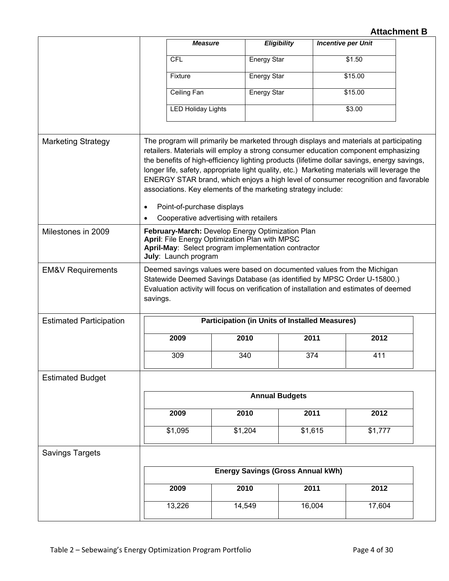|                                | <b>Measure</b>                                                                                                                                                                                                                                                                                                                                                                                                                                                                                                                                                                                                         |                                                       | <b>Eligibility</b> | <b>Incentive per Unit</b> |  |
|--------------------------------|------------------------------------------------------------------------------------------------------------------------------------------------------------------------------------------------------------------------------------------------------------------------------------------------------------------------------------------------------------------------------------------------------------------------------------------------------------------------------------------------------------------------------------------------------------------------------------------------------------------------|-------------------------------------------------------|--------------------|---------------------------|--|
|                                | <b>CFL</b>                                                                                                                                                                                                                                                                                                                                                                                                                                                                                                                                                                                                             | <b>Energy Star</b>                                    |                    | \$1.50                    |  |
|                                | Fixture                                                                                                                                                                                                                                                                                                                                                                                                                                                                                                                                                                                                                | <b>Energy Star</b>                                    |                    | \$15.00                   |  |
|                                | Ceiling Fan                                                                                                                                                                                                                                                                                                                                                                                                                                                                                                                                                                                                            | <b>Energy Star</b>                                    |                    | \$15.00                   |  |
|                                | <b>LED Holiday Lights</b>                                                                                                                                                                                                                                                                                                                                                                                                                                                                                                                                                                                              |                                                       |                    | \$3.00                    |  |
|                                |                                                                                                                                                                                                                                                                                                                                                                                                                                                                                                                                                                                                                        |                                                       |                    |                           |  |
| <b>Marketing Strategy</b>      | The program will primarily be marketed through displays and materials at participating<br>retailers. Materials will employ a strong consumer education component emphasizing<br>the benefits of high-efficiency lighting products (lifetime dollar savings, energy savings,<br>longer life, safety, appropriate light quality, etc.) Marketing materials will leverage the<br>ENERGY STAR brand, which enjoys a high level of consumer recognition and favorable<br>associations. Key elements of the marketing strategy include:<br>Point-of-purchase displays<br>$\bullet$<br>Cooperative advertising with retailers |                                                       |                    |                           |  |
| Milestones in 2009             | February-March: Develop Energy Optimization Plan<br>April: File Energy Optimization Plan with MPSC<br>April-May: Select program implementation contractor<br>July: Launch program                                                                                                                                                                                                                                                                                                                                                                                                                                      |                                                       |                    |                           |  |
| <b>EM&amp;V Requirements</b>   | Deemed savings values were based on documented values from the Michigan<br>Statewide Deemed Savings Database (as identified by MPSC Order U-15800.)<br>Evaluation activity will focus on verification of installation and estimates of deemed<br>savings.                                                                                                                                                                                                                                                                                                                                                              |                                                       |                    |                           |  |
| <b>Estimated Participation</b> |                                                                                                                                                                                                                                                                                                                                                                                                                                                                                                                                                                                                                        | <b>Participation (in Units of Installed Measures)</b> |                    |                           |  |
|                                | 2009                                                                                                                                                                                                                                                                                                                                                                                                                                                                                                                                                                                                                   | 2010                                                  | 2011               | 2012                      |  |
|                                | 309                                                                                                                                                                                                                                                                                                                                                                                                                                                                                                                                                                                                                    | 340                                                   | 374                | 411                       |  |
| <b>Estimated Budget</b>        |                                                                                                                                                                                                                                                                                                                                                                                                                                                                                                                                                                                                                        |                                                       |                    |                           |  |
|                                | <b>Annual Budgets</b>                                                                                                                                                                                                                                                                                                                                                                                                                                                                                                                                                                                                  |                                                       |                    |                           |  |
|                                | 2009                                                                                                                                                                                                                                                                                                                                                                                                                                                                                                                                                                                                                   | 2010                                                  | 2011               | 2012                      |  |
|                                | \$1,095                                                                                                                                                                                                                                                                                                                                                                                                                                                                                                                                                                                                                | \$1,204                                               | \$1,615            | \$1,777                   |  |
| <b>Savings Targets</b>         |                                                                                                                                                                                                                                                                                                                                                                                                                                                                                                                                                                                                                        |                                                       |                    |                           |  |
|                                |                                                                                                                                                                                                                                                                                                                                                                                                                                                                                                                                                                                                                        | <b>Energy Savings (Gross Annual kWh)</b>              |                    |                           |  |
|                                | 2009                                                                                                                                                                                                                                                                                                                                                                                                                                                                                                                                                                                                                   | 2010                                                  | 2011               | 2012                      |  |
|                                | 13,226                                                                                                                                                                                                                                                                                                                                                                                                                                                                                                                                                                                                                 | 14,549                                                | 16,004             | 17,604                    |  |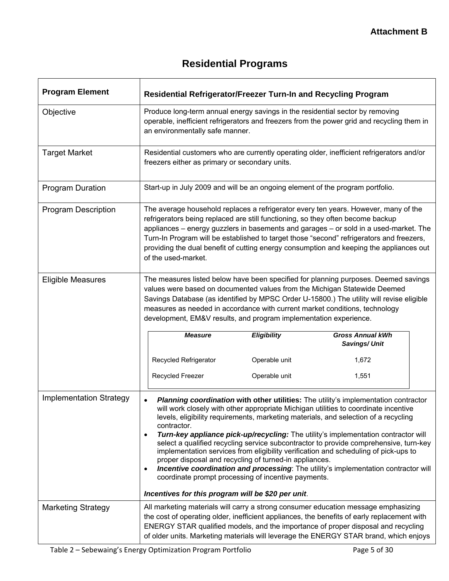# **Residential Programs**

| <b>Program Element</b>         | Residential Refrigerator/Freezer Turn-In and Recycling Program                                                                                                                                                                                                                                                                                                                                                                                                                |                                                                                                                                                                                                                |                                                                                                                                                                                                                                                                                                                                                                                                                                                                                                                                                                                                                                |  |  |  |
|--------------------------------|-------------------------------------------------------------------------------------------------------------------------------------------------------------------------------------------------------------------------------------------------------------------------------------------------------------------------------------------------------------------------------------------------------------------------------------------------------------------------------|----------------------------------------------------------------------------------------------------------------------------------------------------------------------------------------------------------------|--------------------------------------------------------------------------------------------------------------------------------------------------------------------------------------------------------------------------------------------------------------------------------------------------------------------------------------------------------------------------------------------------------------------------------------------------------------------------------------------------------------------------------------------------------------------------------------------------------------------------------|--|--|--|
| Objective                      |                                                                                                                                                                                                                                                                                                                                                                                                                                                                               | Produce long-term annual energy savings in the residential sector by removing<br>operable, inefficient refrigerators and freezers from the power grid and recycling them in<br>an environmentally safe manner. |                                                                                                                                                                                                                                                                                                                                                                                                                                                                                                                                                                                                                                |  |  |  |
| <b>Target Market</b>           |                                                                                                                                                                                                                                                                                                                                                                                                                                                                               | Residential customers who are currently operating older, inefficient refrigerators and/or<br>freezers either as primary or secondary units.                                                                    |                                                                                                                                                                                                                                                                                                                                                                                                                                                                                                                                                                                                                                |  |  |  |
| Program Duration               | Start-up in July 2009 and will be an ongoing element of the program portfolio.                                                                                                                                                                                                                                                                                                                                                                                                |                                                                                                                                                                                                                |                                                                                                                                                                                                                                                                                                                                                                                                                                                                                                                                                                                                                                |  |  |  |
| <b>Program Description</b>     | The average household replaces a refrigerator every ten years. However, many of the<br>refrigerators being replaced are still functioning, so they often become backup<br>appliances - energy guzzlers in basements and garages - or sold in a used-market. The<br>Turn-In Program will be established to target those "second" refrigerators and freezers,<br>providing the dual benefit of cutting energy consumption and keeping the appliances out<br>of the used-market. |                                                                                                                                                                                                                |                                                                                                                                                                                                                                                                                                                                                                                                                                                                                                                                                                                                                                |  |  |  |
| <b>Eligible Measures</b>       | The measures listed below have been specified for planning purposes. Deemed savings<br>values were based on documented values from the Michigan Statewide Deemed<br>Savings Database (as identified by MPSC Order U-15800.) The utility will revise eligible<br>measures as needed in accordance with current market conditions, technology<br>development, EM&V results, and program implementation experience.                                                              |                                                                                                                                                                                                                |                                                                                                                                                                                                                                                                                                                                                                                                                                                                                                                                                                                                                                |  |  |  |
|                                | <b>Measure</b>                                                                                                                                                                                                                                                                                                                                                                                                                                                                | Eligibility                                                                                                                                                                                                    | <b>Gross Annual kWh</b><br>Savings/Unit                                                                                                                                                                                                                                                                                                                                                                                                                                                                                                                                                                                        |  |  |  |
|                                | Recycled Refrigerator                                                                                                                                                                                                                                                                                                                                                                                                                                                         | Operable unit                                                                                                                                                                                                  | 1,672                                                                                                                                                                                                                                                                                                                                                                                                                                                                                                                                                                                                                          |  |  |  |
|                                | Recycled Freezer                                                                                                                                                                                                                                                                                                                                                                                                                                                              | Operable unit                                                                                                                                                                                                  | 1,551                                                                                                                                                                                                                                                                                                                                                                                                                                                                                                                                                                                                                          |  |  |  |
| <b>Implementation Strategy</b> | $\bullet$<br>contractor.<br>٠<br>proper disposal and recycling of turned-in appliances.<br>٠<br>coordinate prompt processing of incentive payments.<br>Incentives for this program will be \$20 per unit.                                                                                                                                                                                                                                                                     |                                                                                                                                                                                                                | Planning coordination with other utilities: The utility's implementation contractor<br>will work closely with other appropriate Michigan utilities to coordinate incentive<br>levels, eligibility requirements, marketing materials, and selection of a recycling<br>Turn-key appliance pick-up/recycling: The utility's implementation contractor will<br>select a qualified recycling service subcontractor to provide comprehensive, turn-key<br>implementation services from eligibility verification and scheduling of pick-ups to<br>Incentive coordination and processing: The utility's implementation contractor will |  |  |  |
| <b>Marketing Strategy</b>      |                                                                                                                                                                                                                                                                                                                                                                                                                                                                               |                                                                                                                                                                                                                | All marketing materials will carry a strong consumer education message emphasizing                                                                                                                                                                                                                                                                                                                                                                                                                                                                                                                                             |  |  |  |
|                                |                                                                                                                                                                                                                                                                                                                                                                                                                                                                               |                                                                                                                                                                                                                | the cost of operating older, inefficient appliances, the benefits of early replacement with<br>ENERGY STAR qualified models, and the importance of proper disposal and recycling<br>of older units. Marketing materials will leverage the ENERGY STAR brand, which enjoys                                                                                                                                                                                                                                                                                                                                                      |  |  |  |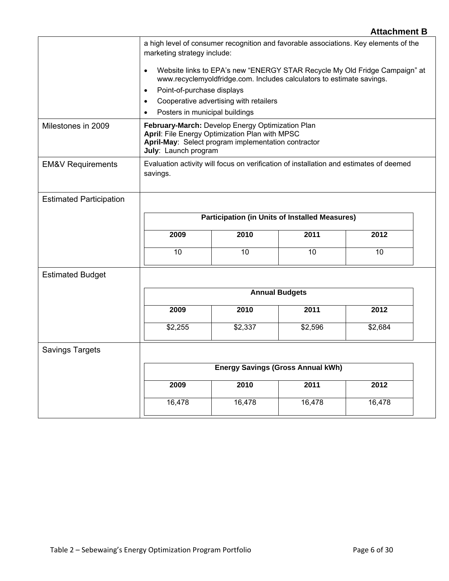# **Attachment B**  a high level of consumer recognition and favorable associations. Key elements of the marketing strategy include: • Website links to EPA's new "ENERGY STAR Recycle My Old Fridge Campaign" at www.recyclemyoldfridge.com. Includes calculators to estimate savings. • Point-of-purchase displays • Cooperative advertising with retailers Posters in municipal buildings Milestones in 2009 **February-March:** Develop Energy Optimization Plan April: File Energy Optimization Plan with MPSC **April-May**: Select program implementation contractor **July**: Launch program EM&V Requirements **Exaluation activity will focus on verification of installation and estimates of deemed** savings. Estimated Participation **Participation (in Units of Installed Measures) 2009 2010 2011 2012**  10 | 10 | 10 | 10 Estimated Budget **Annual Budgets 2009 2010 2011 2012**  \$2,255 \$2,337 \$2,596 \$2,684 Savings Targets **Energy Savings (Gross Annual kWh) 2009 2010 2011 2012**  16,478 16,478 16,478 16,478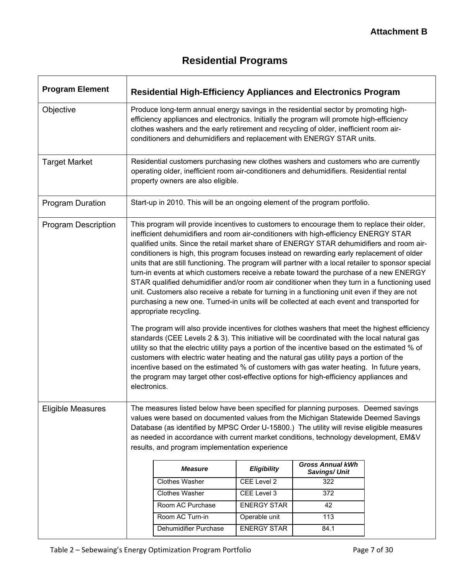# **Residential Programs**

| <b>Program Element</b>     |                                                                                                                                                                                                                                                                                                                                                                                                                 |                                                                                                                                                                                                                                                                                                                                                                                                                                                                                                                                                                                                                                                                                                                                                                                                                                                                                                                                                                                                                                                                                                                                                                                                                                                                                                                                                                                                                                                                                                              | <b>Residential High-Efficiency Appliances and Electronics Program</b> |                                         |  |  |  |  |
|----------------------------|-----------------------------------------------------------------------------------------------------------------------------------------------------------------------------------------------------------------------------------------------------------------------------------------------------------------------------------------------------------------------------------------------------------------|--------------------------------------------------------------------------------------------------------------------------------------------------------------------------------------------------------------------------------------------------------------------------------------------------------------------------------------------------------------------------------------------------------------------------------------------------------------------------------------------------------------------------------------------------------------------------------------------------------------------------------------------------------------------------------------------------------------------------------------------------------------------------------------------------------------------------------------------------------------------------------------------------------------------------------------------------------------------------------------------------------------------------------------------------------------------------------------------------------------------------------------------------------------------------------------------------------------------------------------------------------------------------------------------------------------------------------------------------------------------------------------------------------------------------------------------------------------------------------------------------------------|-----------------------------------------------------------------------|-----------------------------------------|--|--|--|--|
| Objective                  |                                                                                                                                                                                                                                                                                                                                                                                                                 | Produce long-term annual energy savings in the residential sector by promoting high-<br>efficiency appliances and electronics. Initially the program will promote high-efficiency<br>clothes washers and the early retirement and recycling of older, inefficient room air-<br>conditioners and dehumidifiers and replacement with ENERGY STAR units.                                                                                                                                                                                                                                                                                                                                                                                                                                                                                                                                                                                                                                                                                                                                                                                                                                                                                                                                                                                                                                                                                                                                                        |                                                                       |                                         |  |  |  |  |
| <b>Target Market</b>       |                                                                                                                                                                                                                                                                                                                                                                                                                 | Residential customers purchasing new clothes washers and customers who are currently<br>operating older, inefficient room air-conditioners and dehumidifiers. Residential rental<br>property owners are also eligible.                                                                                                                                                                                                                                                                                                                                                                                                                                                                                                                                                                                                                                                                                                                                                                                                                                                                                                                                                                                                                                                                                                                                                                                                                                                                                       |                                                                       |                                         |  |  |  |  |
| <b>Program Duration</b>    |                                                                                                                                                                                                                                                                                                                                                                                                                 | Start-up in 2010. This will be an ongoing element of the program portfolio.                                                                                                                                                                                                                                                                                                                                                                                                                                                                                                                                                                                                                                                                                                                                                                                                                                                                                                                                                                                                                                                                                                                                                                                                                                                                                                                                                                                                                                  |                                                                       |                                         |  |  |  |  |
| <b>Program Description</b> |                                                                                                                                                                                                                                                                                                                                                                                                                 | This program will provide incentives to customers to encourage them to replace their older,<br>inefficient dehumidifiers and room air-conditioners with high-efficiency ENERGY STAR<br>qualified units. Since the retail market share of ENERGY STAR dehumidifiers and room air-<br>conditioners is high, this program focuses instead on rewarding early replacement of older<br>units that are still functioning. The program will partner with a local retailer to sponsor special<br>turn-in events at which customers receive a rebate toward the purchase of a new ENERGY<br>STAR qualified dehumidifier and/or room air conditioner when they turn in a functioning used<br>unit. Customers also receive a rebate for turning in a functioning unit even if they are not<br>purchasing a new one. Turned-in units will be collected at each event and transported for<br>appropriate recycling.<br>The program will also provide incentives for clothes washers that meet the highest efficiency<br>standards (CEE Levels 2 & 3). This initiative will be coordinated with the local natural gas<br>utility so that the electric utility pays a portion of the incentive based on the estimated % of<br>customers with electric water heating and the natural gas utility pays a portion of the<br>incentive based on the estimated % of customers with gas water heating. In future years,<br>the program may target other cost-effective options for high-efficiency appliances and<br>electronics. |                                                                       |                                         |  |  |  |  |
| Eligible Measures          | The measures listed below have been specified for planning purposes. Deemed savings<br>values were based on documented values from the Michigan Statewide Deemed Savings<br>Database (as identified by MPSC Order U-15800.) The utility will revise eligible measures<br>as needed in accordance with current market conditions, technology development, EM&V<br>results, and program implementation experience |                                                                                                                                                                                                                                                                                                                                                                                                                                                                                                                                                                                                                                                                                                                                                                                                                                                                                                                                                                                                                                                                                                                                                                                                                                                                                                                                                                                                                                                                                                              |                                                                       |                                         |  |  |  |  |
|                            |                                                                                                                                                                                                                                                                                                                                                                                                                 | <b>Measure</b>                                                                                                                                                                                                                                                                                                                                                                                                                                                                                                                                                                                                                                                                                                                                                                                                                                                                                                                                                                                                                                                                                                                                                                                                                                                                                                                                                                                                                                                                                               | <b>Eligibility</b>                                                    | <b>Gross Annual kWh</b><br>Savings/Unit |  |  |  |  |
|                            |                                                                                                                                                                                                                                                                                                                                                                                                                 | Clothes Washer                                                                                                                                                                                                                                                                                                                                                                                                                                                                                                                                                                                                                                                                                                                                                                                                                                                                                                                                                                                                                                                                                                                                                                                                                                                                                                                                                                                                                                                                                               | CEE Level 2                                                           | 322                                     |  |  |  |  |
|                            |                                                                                                                                                                                                                                                                                                                                                                                                                 | Clothes Washer                                                                                                                                                                                                                                                                                                                                                                                                                                                                                                                                                                                                                                                                                                                                                                                                                                                                                                                                                                                                                                                                                                                                                                                                                                                                                                                                                                                                                                                                                               | CEE Level 3                                                           | 372                                     |  |  |  |  |
|                            |                                                                                                                                                                                                                                                                                                                                                                                                                 | Room AC Purchase                                                                                                                                                                                                                                                                                                                                                                                                                                                                                                                                                                                                                                                                                                                                                                                                                                                                                                                                                                                                                                                                                                                                                                                                                                                                                                                                                                                                                                                                                             | <b>ENERGY STAR</b>                                                    | 42                                      |  |  |  |  |
|                            |                                                                                                                                                                                                                                                                                                                                                                                                                 | Room AC Turn-in                                                                                                                                                                                                                                                                                                                                                                                                                                                                                                                                                                                                                                                                                                                                                                                                                                                                                                                                                                                                                                                                                                                                                                                                                                                                                                                                                                                                                                                                                              | Operable unit                                                         | 113                                     |  |  |  |  |
|                            |                                                                                                                                                                                                                                                                                                                                                                                                                 | Dehumidifier Purchase                                                                                                                                                                                                                                                                                                                                                                                                                                                                                                                                                                                                                                                                                                                                                                                                                                                                                                                                                                                                                                                                                                                                                                                                                                                                                                                                                                                                                                                                                        | <b>ENERGY STAR</b>                                                    | 84.1                                    |  |  |  |  |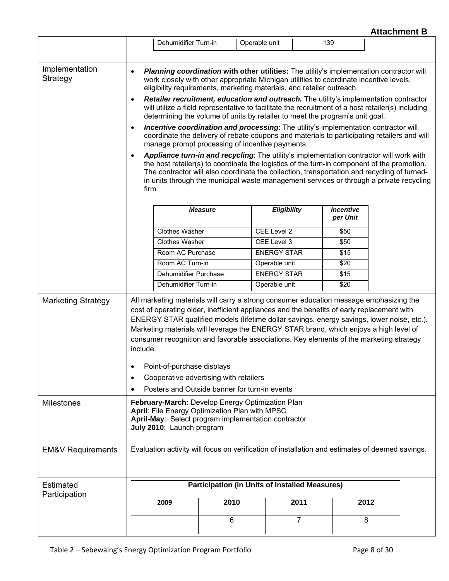|                              |                                                                                                                                                                                                                                                                                                                                                                                                                                                                                    | Dehumidifier Turn-in                                                                                                                                                                                                                                                              |                                                                                                                                                                                                                                                                                                                                                                                  | Operable unit |                    | 139  |                              |      |  |
|------------------------------|------------------------------------------------------------------------------------------------------------------------------------------------------------------------------------------------------------------------------------------------------------------------------------------------------------------------------------------------------------------------------------------------------------------------------------------------------------------------------------|-----------------------------------------------------------------------------------------------------------------------------------------------------------------------------------------------------------------------------------------------------------------------------------|----------------------------------------------------------------------------------------------------------------------------------------------------------------------------------------------------------------------------------------------------------------------------------------------------------------------------------------------------------------------------------|---------------|--------------------|------|------------------------------|------|--|
|                              |                                                                                                                                                                                                                                                                                                                                                                                                                                                                                    |                                                                                                                                                                                                                                                                                   |                                                                                                                                                                                                                                                                                                                                                                                  |               |                    |      |                              |      |  |
| Implementation<br>Strategy   | $\bullet$                                                                                                                                                                                                                                                                                                                                                                                                                                                                          | Planning coordination with other utilities: The utility's implementation contractor will<br>work closely with other appropriate Michigan utilities to coordinate incentive levels,<br>eligibility requirements, marketing materials, and retailer outreach.                       |                                                                                                                                                                                                                                                                                                                                                                                  |               |                    |      |                              |      |  |
|                              | $\bullet$                                                                                                                                                                                                                                                                                                                                                                                                                                                                          | <b>Retailer recruitment, education and outreach.</b> The utility's implementation contractor<br>will utilize a field representative to facilitate the recruitment of a host retailer(s) including<br>determining the volume of units by retailer to meet the program's unit goal. |                                                                                                                                                                                                                                                                                                                                                                                  |               |                    |      |                              |      |  |
|                              | $\bullet$                                                                                                                                                                                                                                                                                                                                                                                                                                                                          |                                                                                                                                                                                                                                                                                   | Incentive coordination and processing: The utility's implementation contractor will<br>coordinate the delivery of rebate coupons and materials to participating retailers and will<br>manage prompt processing of incentive payments.                                                                                                                                            |               |                    |      |                              |      |  |
|                              | $\bullet$<br>firm.                                                                                                                                                                                                                                                                                                                                                                                                                                                                 |                                                                                                                                                                                                                                                                                   | Appliance turn-in and recycling: The utility's implementation contractor will work with<br>the host retailer(s) to coordinate the logistics of the turn-in component of the promotion.<br>The contractor will also coordinate the collection, transportation and recycling of turned-<br>in units through the municipal waste management services or through a private recycling |               |                    |      |                              |      |  |
|                              |                                                                                                                                                                                                                                                                                                                                                                                                                                                                                    |                                                                                                                                                                                                                                                                                   | <b>Measure</b>                                                                                                                                                                                                                                                                                                                                                                   |               | <b>Eligibility</b> |      | <b>Incentive</b><br>per Unit |      |  |
|                              |                                                                                                                                                                                                                                                                                                                                                                                                                                                                                    | <b>Clothes Washer</b>                                                                                                                                                                                                                                                             |                                                                                                                                                                                                                                                                                                                                                                                  |               | CEE Level 2        |      | \$50                         |      |  |
|                              |                                                                                                                                                                                                                                                                                                                                                                                                                                                                                    | <b>Clothes Washer</b>                                                                                                                                                                                                                                                             |                                                                                                                                                                                                                                                                                                                                                                                  |               | CEE Level 3        |      | \$50                         |      |  |
|                              |                                                                                                                                                                                                                                                                                                                                                                                                                                                                                    | Room AC Purchase                                                                                                                                                                                                                                                                  |                                                                                                                                                                                                                                                                                                                                                                                  |               | <b>ENERGY STAR</b> |      | \$15                         |      |  |
|                              |                                                                                                                                                                                                                                                                                                                                                                                                                                                                                    | Room AC Turn-in                                                                                                                                                                                                                                                                   |                                                                                                                                                                                                                                                                                                                                                                                  |               | Operable unit      |      | \$20                         |      |  |
|                              |                                                                                                                                                                                                                                                                                                                                                                                                                                                                                    | Dehumidifier Purchase                                                                                                                                                                                                                                                             |                                                                                                                                                                                                                                                                                                                                                                                  |               | <b>ENERGY STAR</b> |      | \$15                         |      |  |
|                              |                                                                                                                                                                                                                                                                                                                                                                                                                                                                                    | Dehumidifier Turn-in                                                                                                                                                                                                                                                              |                                                                                                                                                                                                                                                                                                                                                                                  |               | Operable unit      |      | \$20                         |      |  |
| <b>Marketing Strategy</b>    | All marketing materials will carry a strong consumer education message emphasizing the<br>cost of operating older, inefficient appliances and the benefits of early replacement with<br>ENERGY STAR qualified models (lifetime dollar savings, energy savings, lower noise, etc.).<br>Marketing materials will leverage the ENERGY STAR brand, which enjoys a high level of<br>consumer recognition and favorable associations. Key elements of the marketing strategy<br>include: |                                                                                                                                                                                                                                                                                   |                                                                                                                                                                                                                                                                                                                                                                                  |               |                    |      |                              |      |  |
|                              |                                                                                                                                                                                                                                                                                                                                                                                                                                                                                    | Point-of-purchase displays                                                                                                                                                                                                                                                        |                                                                                                                                                                                                                                                                                                                                                                                  |               |                    |      |                              |      |  |
|                              | ٠                                                                                                                                                                                                                                                                                                                                                                                                                                                                                  |                                                                                                                                                                                                                                                                                   | Cooperative advertising with retailers                                                                                                                                                                                                                                                                                                                                           |               |                    |      |                              |      |  |
|                              |                                                                                                                                                                                                                                                                                                                                                                                                                                                                                    |                                                                                                                                                                                                                                                                                   | Posters and Outside banner for turn-in events                                                                                                                                                                                                                                                                                                                                    |               |                    |      |                              |      |  |
| <b>Milestones</b>            | February-March: Develop Energy Optimization Plan<br>April: File Energy Optimization Plan with MPSC<br>April-May: Select program implementation contractor<br>July 2010: Launch program                                                                                                                                                                                                                                                                                             |                                                                                                                                                                                                                                                                                   |                                                                                                                                                                                                                                                                                                                                                                                  |               |                    |      |                              |      |  |
| <b>EM&amp;V Requirements</b> |                                                                                                                                                                                                                                                                                                                                                                                                                                                                                    |                                                                                                                                                                                                                                                                                   | Evaluation activity will focus on verification of installation and estimates of deemed savings.                                                                                                                                                                                                                                                                                  |               |                    |      |                              |      |  |
|                              |                                                                                                                                                                                                                                                                                                                                                                                                                                                                                    |                                                                                                                                                                                                                                                                                   |                                                                                                                                                                                                                                                                                                                                                                                  |               |                    |      |                              |      |  |
| Estimated                    |                                                                                                                                                                                                                                                                                                                                                                                                                                                                                    |                                                                                                                                                                                                                                                                                   | <b>Participation (in Units of Installed Measures)</b>                                                                                                                                                                                                                                                                                                                            |               |                    |      |                              |      |  |
| Participation                |                                                                                                                                                                                                                                                                                                                                                                                                                                                                                    | 2009                                                                                                                                                                                                                                                                              | 2010                                                                                                                                                                                                                                                                                                                                                                             |               |                    | 2011 |                              | 2012 |  |
|                              |                                                                                                                                                                                                                                                                                                                                                                                                                                                                                    |                                                                                                                                                                                                                                                                                   | 6                                                                                                                                                                                                                                                                                                                                                                                |               |                    | 7    |                              | 8    |  |
|                              |                                                                                                                                                                                                                                                                                                                                                                                                                                                                                    |                                                                                                                                                                                                                                                                                   |                                                                                                                                                                                                                                                                                                                                                                                  |               |                    |      |                              |      |  |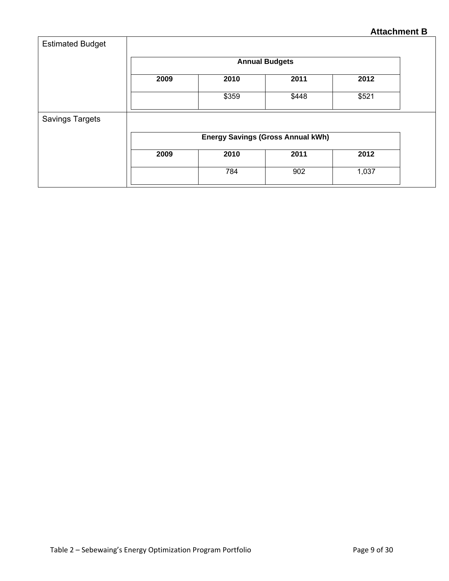| <b>Estimated Budget</b> |                                          |                       |       |       |  |  |  |  |
|-------------------------|------------------------------------------|-----------------------|-------|-------|--|--|--|--|
|                         |                                          | <b>Annual Budgets</b> |       |       |  |  |  |  |
|                         | 2009                                     | 2010                  | 2011  | 2012  |  |  |  |  |
|                         |                                          | \$359                 | \$448 | \$521 |  |  |  |  |
| <b>Savings Targets</b>  |                                          |                       |       |       |  |  |  |  |
|                         | <b>Energy Savings (Gross Annual kWh)</b> |                       |       |       |  |  |  |  |
|                         | 2009                                     | 2010                  | 2011  | 2012  |  |  |  |  |
|                         |                                          | 784                   | 902   | 1,037 |  |  |  |  |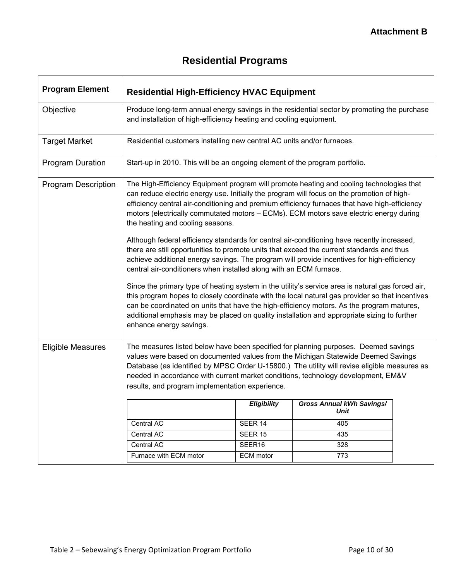|  | <b>Residential Programs</b> |
|--|-----------------------------|
|  |                             |

í

| <b>Program Element</b>     | <b>Residential High-Efficiency HVAC Equipment</b>                                                                                                                                                                                                                                                                                                                                                                           |                  |                                                 |  |  |
|----------------------------|-----------------------------------------------------------------------------------------------------------------------------------------------------------------------------------------------------------------------------------------------------------------------------------------------------------------------------------------------------------------------------------------------------------------------------|------------------|-------------------------------------------------|--|--|
| Objective                  | Produce long-term annual energy savings in the residential sector by promoting the purchase<br>and installation of high-efficiency heating and cooling equipment.                                                                                                                                                                                                                                                           |                  |                                                 |  |  |
| <b>Target Market</b>       | Residential customers installing new central AC units and/or furnaces.                                                                                                                                                                                                                                                                                                                                                      |                  |                                                 |  |  |
| <b>Program Duration</b>    | Start-up in 2010. This will be an ongoing element of the program portfolio.                                                                                                                                                                                                                                                                                                                                                 |                  |                                                 |  |  |
| <b>Program Description</b> | The High-Efficiency Equipment program will promote heating and cooling technologies that<br>can reduce electric energy use. Initially the program will focus on the promotion of high-<br>efficiency central air-conditioning and premium efficiency furnaces that have high-efficiency<br>motors (electrically commutated motors - ECMs). ECM motors save electric energy during<br>the heating and cooling seasons.       |                  |                                                 |  |  |
|                            | Although federal efficiency standards for central air-conditioning have recently increased,<br>there are still opportunities to promote units that exceed the current standards and thus<br>achieve additional energy savings. The program will provide incentives for high-efficiency<br>central air-conditioners when installed along with an ECM furnace.                                                                |                  |                                                 |  |  |
|                            | Since the primary type of heating system in the utility's service area is natural gas forced air,<br>this program hopes to closely coordinate with the local natural gas provider so that incentives<br>can be coordinated on units that have the high-efficiency motors. As the program matures,<br>additional emphasis may be placed on quality installation and appropriate sizing to further<br>enhance energy savings. |                  |                                                 |  |  |
| <b>Eligible Measures</b>   | The measures listed below have been specified for planning purposes. Deemed savings<br>values were based on documented values from the Michigan Statewide Deemed Savings<br>Database (as identified by MPSC Order U-15800.) The utility will revise eligible measures as<br>needed in accordance with current market conditions, technology development, EM&V<br>results, and program implementation experience.            |                  |                                                 |  |  |
|                            |                                                                                                                                                                                                                                                                                                                                                                                                                             | Eligibility      | <b>Gross Annual kWh Savings/</b><br><b>Unit</b> |  |  |
|                            | Central AC                                                                                                                                                                                                                                                                                                                                                                                                                  | SEER 14          | 405                                             |  |  |
|                            | Central AC                                                                                                                                                                                                                                                                                                                                                                                                                  | SEER 15          | 435                                             |  |  |
|                            | Central AC                                                                                                                                                                                                                                                                                                                                                                                                                  | SEER16           | 328                                             |  |  |
|                            | Furnace with ECM motor                                                                                                                                                                                                                                                                                                                                                                                                      | <b>ECM</b> motor | 773                                             |  |  |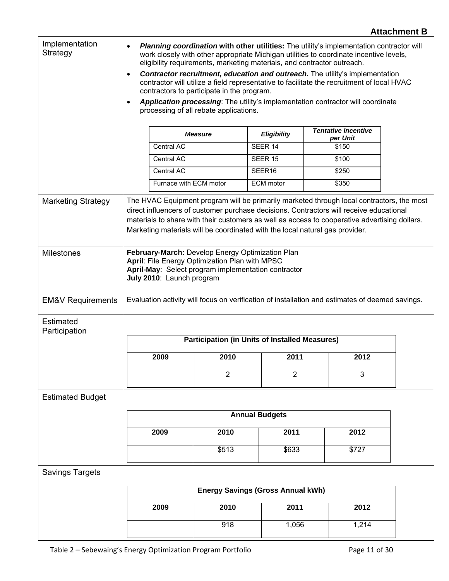## Implementation Implementation **•** *Planning coordination* with other utilities: The utility's implementation contractor will<br>Strategy with other appropriate Michigan utilities to coordinate incentive levels work closely with other appropriate Michigan utilities to coordinate incentive levels, eligibility requirements, marketing materials, and contractor outreach. • **Contractor recruitment, education and outreach.** The utility's implementation contractor will utilize a field representative to facilitate the recruitment of local HVAC contractors to participate in the program. • *Application processing*: The utility's implementation contractor will coordinate processing of all rebate applications. *Measure Eligibility Tentative Incentive per Unit*  Central AC <br>
SEER 14 5150 Central AC <br>
SEER 15 \$100 Central AC <br>SEER16 \$250 Furnace with ECM motor | ECM motor | \$350 Marketing Strategy | The HVAC Equipment program will be primarily marketed through local contractors, the most direct influencers of customer purchase decisions. Contractors will receive educational materials to share with their customers as well as access to cooperative advertising dollars. Marketing materials will be coordinated with the local natural gas provider. Milestones **February-March:** Develop Energy Optimization Plan **April**: File Energy Optimization Plan with MPSC **April-May**: Select program implementation contractor **July 2010**: Launch program EM&V Requirements | Evaluation activity will focus on verification of installation and estimates of deemed savings. Estimated **Participation Participation (in Units of Installed Measures) 2009 2010 2011 2012**  2 2 3 Estimated Budget **Annual Budgets 2009 2010 2011 2012**  \$513 \$633 \$727 Savings Targets **Energy Savings (Gross Annual kWh) 2009 2010 2011 2012**  918 1,056 1,214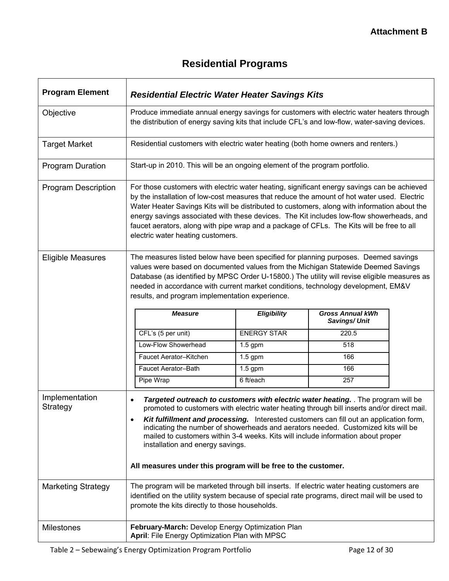# **Residential Programs**

| <b>Program Element</b>     | <b>Residential Electric Water Heater Savings Kits</b>                                                                                                                                                                                                                                                                                                                                                                                                                                                                    |                    |                                         |  |
|----------------------------|--------------------------------------------------------------------------------------------------------------------------------------------------------------------------------------------------------------------------------------------------------------------------------------------------------------------------------------------------------------------------------------------------------------------------------------------------------------------------------------------------------------------------|--------------------|-----------------------------------------|--|
| Objective                  | Produce immediate annual energy savings for customers with electric water heaters through<br>the distribution of energy saving kits that include CFL's and low-flow, water-saving devices.                                                                                                                                                                                                                                                                                                                               |                    |                                         |  |
| <b>Target Market</b>       | Residential customers with electric water heating (both home owners and renters.)                                                                                                                                                                                                                                                                                                                                                                                                                                        |                    |                                         |  |
| <b>Program Duration</b>    | Start-up in 2010. This will be an ongoing element of the program portfolio.                                                                                                                                                                                                                                                                                                                                                                                                                                              |                    |                                         |  |
| <b>Program Description</b> | For those customers with electric water heating, significant energy savings can be achieved<br>by the installation of low-cost measures that reduce the amount of hot water used. Electric<br>Water Heater Savings Kits will be distributed to customers, along with information about the<br>energy savings associated with these devices. The Kit includes low-flow showerheads, and<br>faucet aerators, along with pipe wrap and a package of CFLs. The Kits will be free to all<br>electric water heating customers. |                    |                                         |  |
| <b>Eligible Measures</b>   | The measures listed below have been specified for planning purposes. Deemed savings<br>values were based on documented values from the Michigan Statewide Deemed Savings<br>Database (as identified by MPSC Order U-15800.) The utility will revise eligible measures as<br>needed in accordance with current market conditions, technology development, EM&V<br>results, and program implementation experience.                                                                                                         |                    |                                         |  |
|                            | <b>Measure</b>                                                                                                                                                                                                                                                                                                                                                                                                                                                                                                           | Eligibility        | <b>Gross Annual kWh</b><br>Savings/Unit |  |
|                            | CFL's (5 per unit)                                                                                                                                                                                                                                                                                                                                                                                                                                                                                                       | <b>ENERGY STAR</b> | 220.5                                   |  |
|                            | Low-Flow Showerhead                                                                                                                                                                                                                                                                                                                                                                                                                                                                                                      | $1.5$ gpm          | 518                                     |  |
|                            | Faucet Aerator-Kitchen                                                                                                                                                                                                                                                                                                                                                                                                                                                                                                   | $1.5$ gpm          | 166                                     |  |
|                            | Faucet Aerator-Bath                                                                                                                                                                                                                                                                                                                                                                                                                                                                                                      | $1.5$ gpm          | 166                                     |  |
|                            | Pipe Wrap                                                                                                                                                                                                                                                                                                                                                                                                                                                                                                                | 6 ft/each          | 257                                     |  |
| Implementation<br>Strategy | Targeted outreach to customers with electric water heating. The program will be<br>promoted to customers with electric water heating through bill inserts and/or direct mail.<br>Kit fulfillment and processing. Interested customers can fill out an application form,<br>$\bullet$<br>indicating the number of showerheads and aerators needed. Customized kits will be<br>mailed to customers within 3-4 weeks. Kits will include information about proper<br>installation and energy savings.                        |                    |                                         |  |
|                            | All measures under this program will be free to the customer.                                                                                                                                                                                                                                                                                                                                                                                                                                                            |                    |                                         |  |
| <b>Marketing Strategy</b>  | The program will be marketed through bill inserts. If electric water heating customers are<br>identified on the utility system because of special rate programs, direct mail will be used to<br>promote the kits directly to those households.                                                                                                                                                                                                                                                                           |                    |                                         |  |
| <b>Milestones</b>          | February-March: Develop Energy Optimization Plan<br>April: File Energy Optimization Plan with MPSC                                                                                                                                                                                                                                                                                                                                                                                                                       |                    |                                         |  |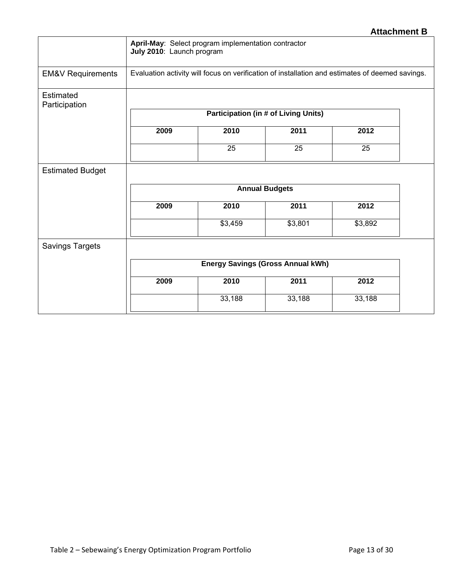|                              | July 2010: Launch program                                                                       | April-May: Select program implementation contractor |                                          |                 |  |
|------------------------------|-------------------------------------------------------------------------------------------------|-----------------------------------------------------|------------------------------------------|-----------------|--|
| <b>EM&amp;V Requirements</b> | Evaluation activity will focus on verification of installation and estimates of deemed savings. |                                                     |                                          |                 |  |
| Estimated<br>Participation   |                                                                                                 |                                                     |                                          |                 |  |
|                              |                                                                                                 | <b>Participation (in # of Living Units)</b>         |                                          |                 |  |
|                              | 2009                                                                                            | 2010                                                | 2011                                     | 2012            |  |
|                              |                                                                                                 | 25                                                  | 25                                       | $\overline{25}$ |  |
| <b>Estimated Budget</b>      |                                                                                                 |                                                     |                                          |                 |  |
|                              | <b>Annual Budgets</b>                                                                           |                                                     |                                          |                 |  |
|                              | 2009                                                                                            | 2010                                                | 2011                                     | 2012            |  |
|                              |                                                                                                 | \$3,459                                             | \$3,801                                  | \$3,892         |  |
| <b>Savings Targets</b>       |                                                                                                 |                                                     |                                          |                 |  |
|                              |                                                                                                 |                                                     | <b>Energy Savings (Gross Annual kWh)</b> |                 |  |
|                              | 2009                                                                                            | 2010                                                | 2011                                     | 2012            |  |
|                              |                                                                                                 | 33,188                                              | 33,188                                   | 33,188          |  |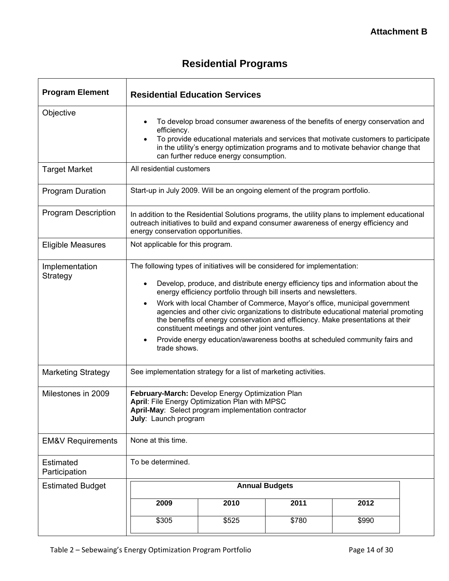# **Residential Programs**

| <b>Program Element</b>       | <b>Residential Education Services</b>                                                                                                                                                                                                                                                                                                                                                                                                                                                                                                                                                                                                                   |                       |       |       |  |
|------------------------------|---------------------------------------------------------------------------------------------------------------------------------------------------------------------------------------------------------------------------------------------------------------------------------------------------------------------------------------------------------------------------------------------------------------------------------------------------------------------------------------------------------------------------------------------------------------------------------------------------------------------------------------------------------|-----------------------|-------|-------|--|
| Objective                    | To develop broad consumer awareness of the benefits of energy conservation and<br>efficiency.<br>To provide educational materials and services that motivate customers to participate<br>٠<br>in the utility's energy optimization programs and to motivate behavior change that<br>can further reduce energy consumption.                                                                                                                                                                                                                                                                                                                              |                       |       |       |  |
| <b>Target Market</b>         | All residential customers                                                                                                                                                                                                                                                                                                                                                                                                                                                                                                                                                                                                                               |                       |       |       |  |
| <b>Program Duration</b>      | Start-up in July 2009. Will be an ongoing element of the program portfolio.                                                                                                                                                                                                                                                                                                                                                                                                                                                                                                                                                                             |                       |       |       |  |
| <b>Program Description</b>   | In addition to the Residential Solutions programs, the utility plans to implement educational<br>outreach initiatives to build and expand consumer awareness of energy efficiency and<br>energy conservation opportunities.                                                                                                                                                                                                                                                                                                                                                                                                                             |                       |       |       |  |
| <b>Eligible Measures</b>     | Not applicable for this program.                                                                                                                                                                                                                                                                                                                                                                                                                                                                                                                                                                                                                        |                       |       |       |  |
| Implementation<br>Strategy   | The following types of initiatives will be considered for implementation:<br>Develop, produce, and distribute energy efficiency tips and information about the<br>energy efficiency portfolio through bill inserts and newsletters.<br>Work with local Chamber of Commerce, Mayor's office, municipal government<br>$\bullet$<br>agencies and other civic organizations to distribute educational material promoting<br>the benefits of energy conservation and efficiency. Make presentations at their<br>constituent meetings and other joint ventures.<br>Provide energy education/awareness booths at scheduled community fairs and<br>trade shows. |                       |       |       |  |
| <b>Marketing Strategy</b>    | See implementation strategy for a list of marketing activities.                                                                                                                                                                                                                                                                                                                                                                                                                                                                                                                                                                                         |                       |       |       |  |
| Milestones in 2009           | February-March: Develop Energy Optimization Plan<br>April: File Energy Optimization Plan with MPSC<br>April-May: Select program implementation contractor<br>July: Launch program                                                                                                                                                                                                                                                                                                                                                                                                                                                                       |                       |       |       |  |
| <b>EM&amp;V Requirements</b> | None at this time.                                                                                                                                                                                                                                                                                                                                                                                                                                                                                                                                                                                                                                      |                       |       |       |  |
| Estimated<br>Participation   | To be determined.                                                                                                                                                                                                                                                                                                                                                                                                                                                                                                                                                                                                                                       |                       |       |       |  |
| <b>Estimated Budget</b>      |                                                                                                                                                                                                                                                                                                                                                                                                                                                                                                                                                                                                                                                         | <b>Annual Budgets</b> |       |       |  |
|                              | 2009                                                                                                                                                                                                                                                                                                                                                                                                                                                                                                                                                                                                                                                    | 2010                  | 2011  | 2012  |  |
|                              | \$305                                                                                                                                                                                                                                                                                                                                                                                                                                                                                                                                                                                                                                                   | \$525                 | \$780 | \$990 |  |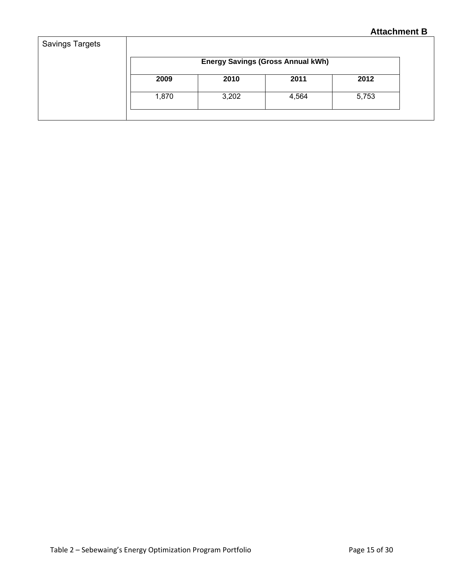|       |       | <b>Energy Savings (Gross Annual kWh)</b> |       |
|-------|-------|------------------------------------------|-------|
| 2009  | 2010  | 2011                                     | 2012  |
| 1,870 | 3,202 | 4,564                                    | 5,753 |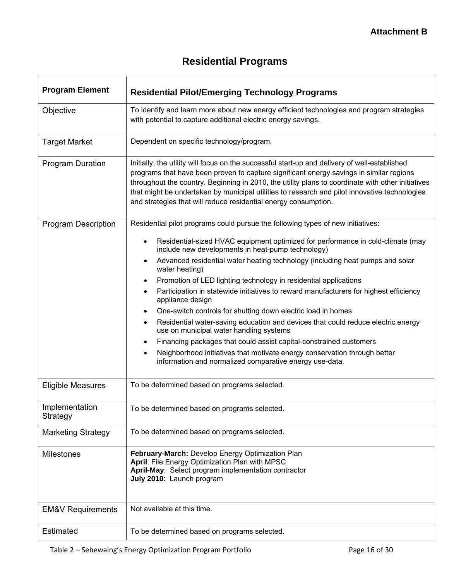| <b>Program Element</b>       | <b>Residential Pilot/Emerging Technology Programs</b>                                                                                                                                                                                                                                                                                                                                                                                                             |
|------------------------------|-------------------------------------------------------------------------------------------------------------------------------------------------------------------------------------------------------------------------------------------------------------------------------------------------------------------------------------------------------------------------------------------------------------------------------------------------------------------|
| Objective                    | To identify and learn more about new energy efficient technologies and program strategies<br>with potential to capture additional electric energy savings.                                                                                                                                                                                                                                                                                                        |
| <b>Target Market</b>         | Dependent on specific technology/program.                                                                                                                                                                                                                                                                                                                                                                                                                         |
| <b>Program Duration</b>      | Initially, the utility will focus on the successful start-up and delivery of well-established<br>programs that have been proven to capture significant energy savings in similar regions<br>throughout the country. Beginning in 2010, the utility plans to coordinate with other initiatives<br>that might be undertaken by municipal utilities to research and pilot innovative technologies<br>and strategies that will reduce residential energy consumption. |
| <b>Program Description</b>   | Residential pilot programs could pursue the following types of new initiatives:                                                                                                                                                                                                                                                                                                                                                                                   |
|                              | Residential-sized HVAC equipment optimized for performance in cold-climate (may<br>$\bullet$<br>include new developments in heat-pump technology)                                                                                                                                                                                                                                                                                                                 |
|                              | Advanced residential water heating technology (including heat pumps and solar<br>٠<br>water heating)<br>Promotion of LED lighting technology in residential applications<br>$\bullet$<br>Participation in statewide initiatives to reward manufacturers for highest efficiency<br>appliance design                                                                                                                                                                |
|                              | One-switch controls for shutting down electric load in homes                                                                                                                                                                                                                                                                                                                                                                                                      |
|                              | Residential water-saving education and devices that could reduce electric energy<br>٠<br>use on municipal water handling systems                                                                                                                                                                                                                                                                                                                                  |
|                              | Financing packages that could assist capital-constrained customers<br>$\bullet$                                                                                                                                                                                                                                                                                                                                                                                   |
|                              | Neighborhood initiatives that motivate energy conservation through better<br>information and normalized comparative energy use-data.                                                                                                                                                                                                                                                                                                                              |
| <b>Eligible Measures</b>     | To be determined based on programs selected.                                                                                                                                                                                                                                                                                                                                                                                                                      |
| Implementation<br>Strategy   | To be determined based on programs selected.                                                                                                                                                                                                                                                                                                                                                                                                                      |
| <b>Marketing Strategy</b>    | To be determined based on programs selected.                                                                                                                                                                                                                                                                                                                                                                                                                      |
| <b>Milestones</b>            | February-March: Develop Energy Optimization Plan<br>April: File Energy Optimization Plan with MPSC<br>April-May: Select program implementation contractor<br>July 2010: Launch program                                                                                                                                                                                                                                                                            |
| <b>EM&amp;V Requirements</b> | Not available at this time.                                                                                                                                                                                                                                                                                                                                                                                                                                       |
| Estimated                    | To be determined based on programs selected.                                                                                                                                                                                                                                                                                                                                                                                                                      |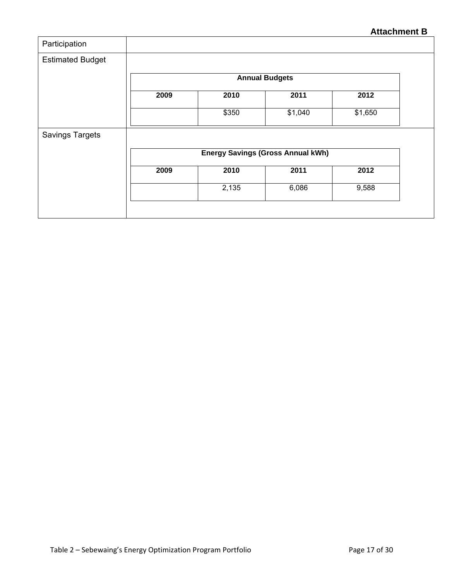| <b>Estimated Budget</b> |      |       |                                          |         |
|-------------------------|------|-------|------------------------------------------|---------|
|                         |      |       | <b>Annual Budgets</b>                    |         |
|                         | 2009 | 2010  | 2011                                     | 2012    |
|                         |      | \$350 | \$1,040                                  | \$1,650 |
|                         |      |       |                                          |         |
| <b>Savings Targets</b>  |      |       |                                          |         |
|                         |      |       | <b>Energy Savings (Gross Annual kWh)</b> |         |
|                         | 2009 | 2010  | 2011                                     | 2012    |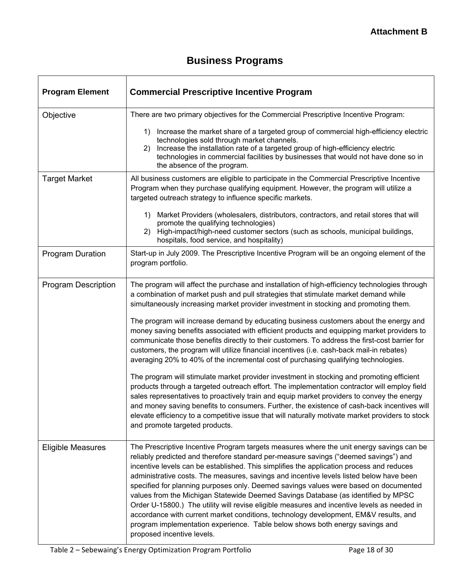| <b>Program Element</b>     | <b>Commercial Prescriptive Incentive Program</b>                                                                                                                                                                                                                                                                                                                                                                                                                                                                                                                                                                                                                                                                                                                                                                                                                                                                                                                                                                                                                                                                                                                                                                                                                                         |
|----------------------------|------------------------------------------------------------------------------------------------------------------------------------------------------------------------------------------------------------------------------------------------------------------------------------------------------------------------------------------------------------------------------------------------------------------------------------------------------------------------------------------------------------------------------------------------------------------------------------------------------------------------------------------------------------------------------------------------------------------------------------------------------------------------------------------------------------------------------------------------------------------------------------------------------------------------------------------------------------------------------------------------------------------------------------------------------------------------------------------------------------------------------------------------------------------------------------------------------------------------------------------------------------------------------------------|
| Objective                  | There are two primary objectives for the Commercial Prescriptive Incentive Program:<br>Increase the market share of a targeted group of commercial high-efficiency electric<br>1)<br>technologies sold through market channels.<br>Increase the installation rate of a targeted group of high-efficiency electric<br>2)<br>technologies in commercial facilities by businesses that would not have done so in<br>the absence of the program.                                                                                                                                                                                                                                                                                                                                                                                                                                                                                                                                                                                                                                                                                                                                                                                                                                             |
| <b>Target Market</b>       | All business customers are eligible to participate in the Commercial Prescriptive Incentive<br>Program when they purchase qualifying equipment. However, the program will utilize a<br>targeted outreach strategy to influence specific markets.<br>Market Providers (wholesalers, distributors, contractors, and retail stores that will<br>1)<br>promote the qualifying technologies)<br>High-impact/high-need customer sectors (such as schools, municipal buildings,<br>2)<br>hospitals, food service, and hospitality)                                                                                                                                                                                                                                                                                                                                                                                                                                                                                                                                                                                                                                                                                                                                                              |
| <b>Program Duration</b>    | Start-up in July 2009. The Prescriptive Incentive Program will be an ongoing element of the<br>program portfolio.                                                                                                                                                                                                                                                                                                                                                                                                                                                                                                                                                                                                                                                                                                                                                                                                                                                                                                                                                                                                                                                                                                                                                                        |
| <b>Program Description</b> | The program will affect the purchase and installation of high-efficiency technologies through<br>a combination of market push and pull strategies that stimulate market demand while<br>simultaneously increasing market provider investment in stocking and promoting them.<br>The program will increase demand by educating business customers about the energy and<br>money saving benefits associated with efficient products and equipping market providers to<br>communicate those benefits directly to their customers. To address the first-cost barrier for<br>customers, the program will utilize financial incentives (i.e. cash-back mail-in rebates)<br>averaging 20% to 40% of the incremental cost of purchasing qualifying technologies.<br>The program will stimulate market provider investment in stocking and promoting efficient<br>products through a targeted outreach effort. The implementation contractor will employ field<br>sales representatives to proactively train and equip market providers to convey the energy<br>and money saving benefits to consumers. Further, the existence of cash-back incentives will<br>elevate efficiency to a competitive issue that will naturally motivate market providers to stock<br>and promote targeted products. |
| <b>Eligible Measures</b>   | The Prescriptive Incentive Program targets measures where the unit energy savings can be<br>reliably predicted and therefore standard per-measure savings ("deemed savings") and<br>incentive levels can be established. This simplifies the application process and reduces<br>administrative costs. The measures, savings and incentive levels listed below have been<br>specified for planning purposes only. Deemed savings values were based on documented<br>values from the Michigan Statewide Deemed Savings Database (as identified by MPSC<br>Order U-15800.) The utility will revise eligible measures and incentive levels as needed in<br>accordance with current market conditions, technology development, EM&V results, and<br>program implementation experience. Table below shows both energy savings and<br>proposed incentive levels.                                                                                                                                                                                                                                                                                                                                                                                                                                |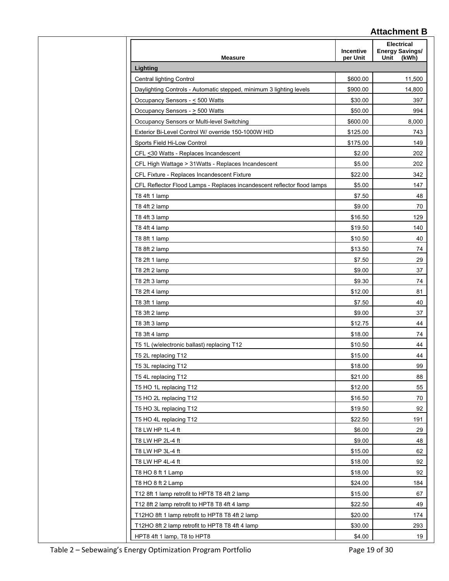| <b>Measure</b>                                                                                     | Incentive<br>per Unit | <b>Electrical</b><br><b>Energy Savings/</b><br>Unit<br>(kWh) |
|----------------------------------------------------------------------------------------------------|-----------------------|--------------------------------------------------------------|
| Lighting                                                                                           |                       |                                                              |
| Central lighting Control                                                                           | \$600.00              | 11,500                                                       |
| Daylighting Controls - Automatic stepped, minimum 3 lighting levels                                | \$900.00              | 14,800                                                       |
| Occupancy Sensors - < 500 Watts                                                                    | \$30.00               | 397                                                          |
| Occupancy Sensors - > 500 Watts                                                                    | \$50.00               | 994                                                          |
| Occupancy Sensors or Multi-level Switching                                                         | \$600.00              | 8,000                                                        |
| Exterior Bi-Level Control W/ override 150-1000W HID                                                | \$125.00              | 743                                                          |
| Sports Field Hi-Low Control                                                                        | \$175.00              | 149                                                          |
| CFL <30 Watts - Replaces Incandescent                                                              | \$2.00                | 202                                                          |
| CFL High Wattage > 31Watts - Replaces Incandescent                                                 | \$5.00                | 202                                                          |
| CFL Fixture - Replaces Incandescent Fixture                                                        | \$22.00               | 342                                                          |
| CFL Reflector Flood Lamps - Replaces incandescent reflector flood lamps                            | \$5.00                | 147                                                          |
| T8 4ft 1 lamp                                                                                      | \$7.50                | 48                                                           |
| T8 4ft 2 lamp                                                                                      | \$9.00                | 70                                                           |
| T8 4ft 3 lamp                                                                                      | \$16.50               | 129                                                          |
| T8 4ft 4 lamp                                                                                      | \$19.50               | 140                                                          |
| T8 8ft 1 lamp                                                                                      | \$10.50               | 40                                                           |
| T8 8ft 2 lamp                                                                                      | \$13.50               | 74                                                           |
| T8 2ft 1 lamp                                                                                      | \$7.50                | 29                                                           |
| T8 2ft 2 lamp                                                                                      | \$9.00                | 37                                                           |
| T8 2ft 3 lamp                                                                                      | \$9.30                | 74                                                           |
| T8 2ft 4 lamp                                                                                      | \$12.00               | 81                                                           |
| T8 3ft 1 lamp                                                                                      | \$7.50                | 40                                                           |
| T8 3ft 2 lamp                                                                                      | \$9.00                | 37                                                           |
| T8 3ft 3 lamp                                                                                      | \$12.75               | 44                                                           |
| T8 3ft 4 lamp                                                                                      | \$18.00               | 74                                                           |
| T5 1L (w/electronic ballast) replacing T12                                                         | \$10.50               | 44                                                           |
| T5 2L replacing T12                                                                                | \$15.00               | 44                                                           |
| T5 3L replacing T12                                                                                | \$18.00               | 99                                                           |
| T5 4L replacing T12                                                                                | \$21.00               | 88                                                           |
| T5 HO 1L replacing T12                                                                             | \$12.00               | 55                                                           |
| T5 HO 2L replacing T12                                                                             | \$16.50               | 70                                                           |
| T5 HO 3L replacing T12                                                                             | \$19.50               | 92                                                           |
| T5 HO 4L replacing T12                                                                             | \$22.50               | 191                                                          |
| T8 LW HP 1L-4 ft                                                                                   | \$6.00                | 29                                                           |
| T8 LW HP 2L-4 ft                                                                                   | \$9.00                | 48                                                           |
| T8 LW HP 3L-4 ft                                                                                   | \$15.00               | 62                                                           |
| T8 LW HP 4L-4 ft                                                                                   | \$18.00               | 92                                                           |
|                                                                                                    |                       | 92                                                           |
| T8 HO 8 ft 1 Lamp<br>T8 HO 8 ft 2 Lamp                                                             | \$18.00               | 184                                                          |
|                                                                                                    | \$24.00               |                                                              |
|                                                                                                    |                       | 67                                                           |
| T12 8ft 1 lamp retrofit to HPT8 T8 4ft 2 lamp                                                      | \$15.00               |                                                              |
| T12 8ft 2 lamp retrofit to HPT8 T8 4ft 4 lamp                                                      | \$22.50               | 49                                                           |
| T12HO 8ft 1 lamp retrofit to HPT8 T8 4ft 2 lamp<br>T12HO 8ft 2 lamp retrofit to HPT8 T8 4ft 4 lamp | \$20.00<br>\$30.00    | 174<br>293                                                   |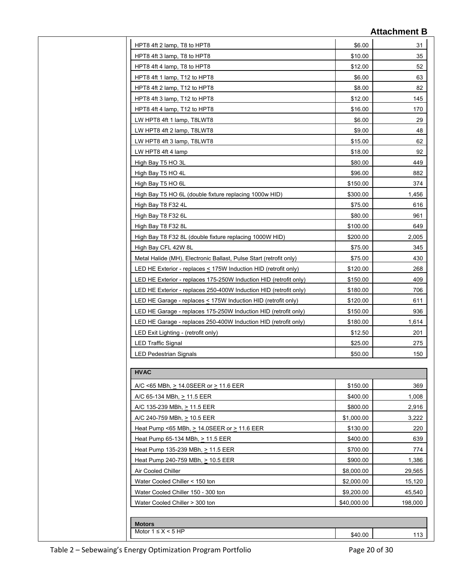| HPT8 4ft 2 lamp, T8 to HPT8                                          | \$6.00      | 31      |
|----------------------------------------------------------------------|-------------|---------|
| HPT8 4ft 3 lamp, T8 to HPT8                                          | \$10.00     | 35      |
| HPT8 4ft 4 lamp, T8 to HPT8                                          | \$12.00     | 52      |
| HPT8 4ft 1 lamp, T12 to HPT8                                         | \$6.00      | 63      |
| HPT8 4ft 2 lamp, T12 to HPT8                                         | \$8.00      | 82      |
| HPT8 4ft 3 lamp, T12 to HPT8                                         | \$12.00     | 145     |
| HPT8 4ft 4 lamp, T12 to HPT8                                         | \$16.00     | 170     |
| LW HPT8 4ft 1 lamp, T8LWT8                                           | \$6.00      | 29      |
| LW HPT8 4ft 2 lamp, T8LWT8                                           | \$9.00      | 48      |
| LW HPT8 4ft 3 lamp, T8LWT8                                           | \$15.00     | 62      |
| LW HPT8 4ft 4 lamp                                                   | \$18.00     | 92      |
| High Bay T5 HO 3L                                                    | \$80.00     | 449     |
| High Bay T5 HO 4L                                                    | \$96.00     | 882     |
| High Bay T5 HO 6L                                                    | \$150.00    | 374     |
| High Bay T5 HO 6L (double fixture replacing 1000w HID)               | \$300.00    | 1,456   |
| High Bay T8 F32 4L                                                   | \$75.00     | 616     |
| High Bay T8 F32 6L                                                   | \$80.00     | 961     |
| High Bay T8 F32 8L                                                   | \$100.00    | 649     |
| High Bay T8 F32 8L (double fixture replacing 1000W HID)              | \$200.00    | 2,005   |
| High Bay CFL 42W 8L                                                  | \$75.00     | 345     |
| Metal Halide (MH), Electronic Ballast, Pulse Start (retrofit only)   | \$75.00     | 430     |
| LED HE Exterior - replaces $\leq$ 175W Induction HID (retrofit only) | \$120.00    | 268     |
| LED HE Exterior - replaces 175-250W Induction HID (retrofit only)    | \$150.00    | 409     |
| LED HE Exterior - replaces 250-400W Induction HID (retrofit only)    | \$180.00    | 706     |
| LED HE Garage - replaces < 175W Induction HID (retrofit only)        | \$120.00    | 611     |
| LED HE Garage - replaces 175-250W Induction HID (retrofit only)      | \$150.00    | 936     |
| LED HE Garage - replaces 250-400W Induction HID (retrofit only)      | \$180.00    | 1,614   |
| LED Exit Lighting - (retrofit only)                                  | \$12.50     | 201     |
| <b>LED Traffic Signal</b>                                            | \$25.00     | 275     |
| <b>LED Pedestrian Signals</b>                                        | \$50.00     | 150     |
|                                                                      |             |         |
| <b>HVAC</b>                                                          |             |         |
| A/C <65 MBh, > 14.0SEER or > 11.6 EER                                | \$150.00    | 369     |
| A/C 65-134 MBh, > 11.5 EER                                           | \$400.00    | 1,008   |
| A/C 135-239 MBh, > 11.5 EER                                          | \$800.00    | 2,916   |
| A/C 240-759 MBh, $\geq$ 10.5 EER                                     | \$1,000.00  | 3,222   |
| Heat Pump <65 MBh, > 14.0SEER or > 11.6 EER                          | \$130.00    | 220     |
| Heat Pump 65-134 MBh, > 11.5 EER                                     | \$400.00    | 639     |
| Heat Pump 135-239 MBh, > 11.5 EER                                    | \$700.00    | 774     |
| Heat Pump 240-759 MBh, > 10.5 EER                                    | \$900.00    | 1,386   |
| Air Cooled Chiller                                                   | \$8,000.00  | 29,565  |
| Water Cooled Chiller < 150 ton                                       | \$2,000.00  | 15,120  |
| Water Cooled Chiller 150 - 300 ton                                   | \$9,200.00  | 45,540  |
|                                                                      | \$40,000.00 |         |
| Water Cooled Chiller > 300 ton                                       |             | 198,000 |
| <b>Motors</b>                                                        |             |         |
| Motor $1 \leq X \leq 5$ HP                                           | \$40.00     | 113     |
|                                                                      |             |         |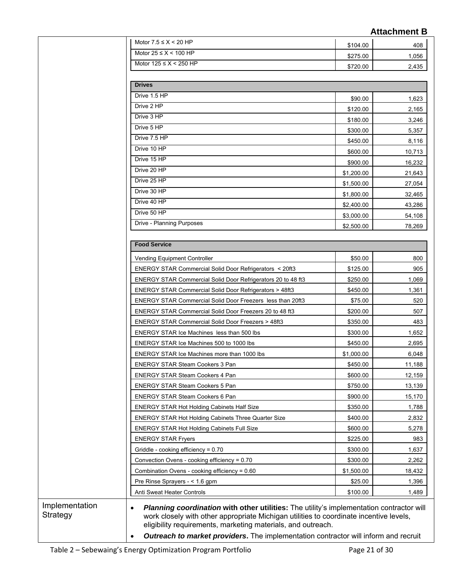|                                                                   |            | <b>Attachment B</b> |
|-------------------------------------------------------------------|------------|---------------------|
| Motor $7.5 \leq X \leq 20$ HP                                     | \$104.00   | 408                 |
| Motor $25 \leq X \leq 100$ HP                                     | \$275.00   | 1,056               |
| Motor $125 \leq X \leq 250$ HP                                    | \$720.00   | 2,435               |
|                                                                   |            |                     |
| <b>Drives</b>                                                     |            |                     |
| Drive 1.5 HP                                                      | \$90.00    | 1,623               |
| Drive 2 HP                                                        | \$120.00   | 2,165               |
| Drive 3 HP                                                        | \$180.00   | 3,246               |
| Drive 5 HP                                                        | \$300.00   | 5,357               |
| Drive 7.5 HP                                                      | \$450.00   | 8,116               |
| Drive 10 HP                                                       | \$600.00   | 10,713              |
| Drive 15 HP                                                       | \$900.00   | 16,232              |
| Drive 20 HP                                                       | \$1,200.00 | 21,643              |
| Drive 25 HP                                                       | \$1,500.00 | 27,054              |
| Drive 30 HP                                                       | \$1,800.00 | 32,465              |
| Drive 40 HP                                                       | \$2,400.00 | 43,286              |
| Drive 50 HP                                                       | \$3,000.00 | 54,108              |
| Drive - Planning Purposes                                         | \$2,500.00 | 78,269              |
|                                                                   |            |                     |
| <b>Food Service</b>                                               |            |                     |
| Vending Equipment Controller                                      | \$50.00    | 800                 |
| ENERGY STAR Commercial Solid Door Refrigerators < 20ft3           | \$125.00   | 905                 |
| ENERGY STAR Commercial Solid Door Refrigerators 20 to 48 ft3      | \$250.00   | 1,069               |
| <b>ENERGY STAR Commercial Solid Door Refrigerators &gt; 48ft3</b> | \$450.00   | 1,361               |
| <b>ENERGY STAR Commercial Solid Door Freezers less than 20ft3</b> | \$75.00    | 520                 |
| ENERGY STAR Commercial Solid Door Freezers 20 to 48 ft3           | \$200.00   | 507                 |
| <b>ENERGY STAR Commercial Solid Door Freezers &gt; 48ft3</b>      | \$350.00   | 483                 |
| <b>ENERGY STAR Ice Machines less than 500 lbs</b>                 | \$300.00   | 1,652               |
| ENERGY STAR Ice Machines 500 to 1000 lbs                          | \$450.00   | 2,695               |
| <b>ENERGY STAR Ice Machines more than 1000 lbs</b>                | \$1,000.00 | 6,048               |
| ENERGY STAR Steam Cookers 3 Pan                                   | \$450.00   | 11,188              |
| <b>ENERGY STAR Steam Cookers 4 Pan</b>                            | \$600.00   | 12,159              |
| ENERGY STAR Steam Cookers 5 Pan                                   | \$750.00   | 13,139              |
| <b>ENERGY STAR Steam Cookers 6 Pan</b>                            | \$900.00   | 15,170              |
| <b>ENERGY STAR Hot Holding Cabinets Half Size</b>                 | \$350.00   | 1,788               |
| ENERGY STAR Hot Holding Cabinets Three Quarter Size               | \$400.00   | 2,832               |
| <b>ENERGY STAR Hot Holding Cabinets Full Size</b>                 | \$600.00   | 5,278               |
| <b>ENERGY STAR Fryers</b>                                         | \$225.00   | 983                 |
| Griddle - cooking efficiency = 0.70                               | \$300.00   | 1,637               |
| Convection Ovens - cooking efficiency = 0.70                      | \$300.00   | 2,262               |
| Combination Ovens - cooking efficiency = 0.60                     | \$1,500.00 | 18,432              |
|                                                                   | \$25.00    | 1,396               |
| Pre Rinse Sprayers - < 1.6 gpm                                    |            |                     |

eligibility requirements, marketing materials, and outreach.

• *Outreach to market providers***.** The implementation contractor will inform and recruit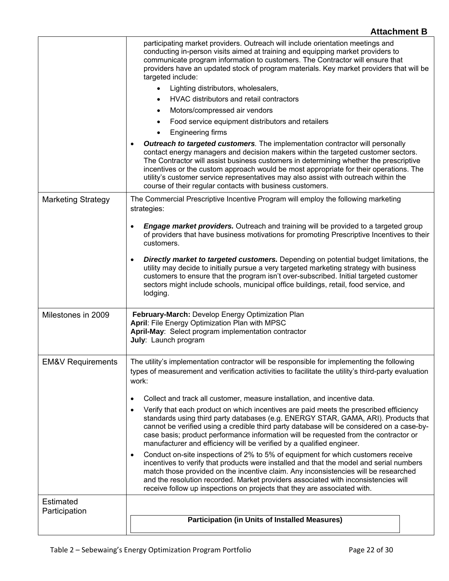|                              | participating market providers. Outreach will include orientation meetings and<br>conducting in-person visits aimed at training and equipping market providers to<br>communicate program information to customers. The Contractor will ensure that<br>providers have an updated stock of program materials. Key market providers that will be<br>targeted include:<br>Lighting distributors, wholesalers,<br>HVAC distributors and retail contractors<br>Motors/compressed air vendors                           |
|------------------------------|------------------------------------------------------------------------------------------------------------------------------------------------------------------------------------------------------------------------------------------------------------------------------------------------------------------------------------------------------------------------------------------------------------------------------------------------------------------------------------------------------------------|
|                              | Food service equipment distributors and retailers                                                                                                                                                                                                                                                                                                                                                                                                                                                                |
|                              | Engineering firms                                                                                                                                                                                                                                                                                                                                                                                                                                                                                                |
|                              | <b>Outreach to targeted customers</b> . The implementation contractor will personally<br>contact energy managers and decision makers within the targeted customer sectors.<br>The Contractor will assist business customers in determining whether the prescriptive<br>incentives or the custom approach would be most appropriate for their operations. The<br>utility's customer service representatives may also assist with outreach within the<br>course of their regular contacts with business customers. |
| <b>Marketing Strategy</b>    | The Commercial Prescriptive Incentive Program will employ the following marketing<br>strategies:                                                                                                                                                                                                                                                                                                                                                                                                                 |
|                              | <b>Engage market providers.</b> Outreach and training will be provided to a targeted group<br>$\bullet$<br>of providers that have business motivations for promoting Prescriptive Incentives to their<br>customers.                                                                                                                                                                                                                                                                                              |
|                              | <b>Directly market to targeted customers.</b> Depending on potential budget limitations, the<br>$\bullet$<br>utility may decide to initially pursue a very targeted marketing strategy with business<br>customers to ensure that the program isn't over-subscribed. Initial targeted customer<br>sectors might include schools, municipal office buildings, retail, food service, and<br>lodging.                                                                                                                |
| Milestones in 2009           | February-March: Develop Energy Optimization Plan<br>April: File Energy Optimization Plan with MPSC<br>April-May: Select program implementation contractor<br>July: Launch program                                                                                                                                                                                                                                                                                                                                |
| <b>EM&amp;V Requirements</b> | The utility's implementation contractor will be responsible for implementing the following<br>types of measurement and verification activities to facilitate the utility's third-party evaluation<br>work:                                                                                                                                                                                                                                                                                                       |
|                              | Collect and track all customer, measure installation, and incentive data.<br>٠                                                                                                                                                                                                                                                                                                                                                                                                                                   |
|                              | Verify that each product on which incentives are paid meets the prescribed efficiency<br>$\bullet$<br>standards using third party databases (e.g. ENERGY STAR, GAMA, ARI). Products that<br>cannot be verified using a credible third party database will be considered on a case-by-<br>case basis; product performance information will be requested from the contractor or<br>manufacturer and efficiency will be verified by a qualified engineer.                                                           |
|                              | Conduct on-site inspections of 2% to 5% of equipment for which customers receive<br>$\bullet$<br>incentives to verify that products were installed and that the model and serial numbers<br>match those provided on the incentive claim. Any inconsistencies will be researched<br>and the resolution recorded. Market providers associated with inconsistencies will<br>receive follow up inspections on projects that they are associated with.                                                                |
| Estimated<br>Participation   | <b>Participation (in Units of Installed Measures)</b>                                                                                                                                                                                                                                                                                                                                                                                                                                                            |
|                              |                                                                                                                                                                                                                                                                                                                                                                                                                                                                                                                  |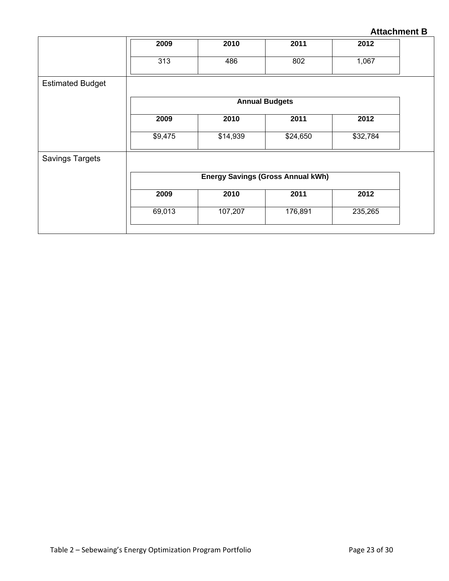| 2009    | 2010     | 2011     | 2012                                                              |
|---------|----------|----------|-------------------------------------------------------------------|
| 313     | 486      | 802      | 1,067                                                             |
|         |          |          |                                                                   |
|         |          |          |                                                                   |
| 2009    | 2010     | 2011     | 2012                                                              |
| \$9,475 | \$14,939 | \$24,650 | \$32,784                                                          |
|         |          |          |                                                                   |
|         |          |          |                                                                   |
| 2009    | 2010     | 2011     | 2012                                                              |
| 69,013  | 107,207  | 176,891  | 235,265                                                           |
|         |          |          | <b>Annual Budgets</b><br><b>Energy Savings (Gross Annual kWh)</b> |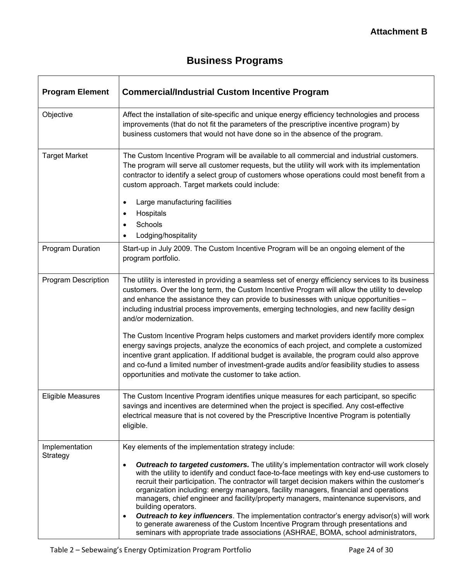# **Business Programs**

| <b>Program Element</b>     | <b>Commercial/Industrial Custom Incentive Program</b>                                                                                                                                                                                                                                                                                                                                                                                                                                                                                                                                                                                                                                                                                                                                                    |
|----------------------------|----------------------------------------------------------------------------------------------------------------------------------------------------------------------------------------------------------------------------------------------------------------------------------------------------------------------------------------------------------------------------------------------------------------------------------------------------------------------------------------------------------------------------------------------------------------------------------------------------------------------------------------------------------------------------------------------------------------------------------------------------------------------------------------------------------|
| Objective                  | Affect the installation of site-specific and unique energy efficiency technologies and process<br>improvements (that do not fit the parameters of the prescriptive incentive program) by<br>business customers that would not have done so in the absence of the program.                                                                                                                                                                                                                                                                                                                                                                                                                                                                                                                                |
| <b>Target Market</b>       | The Custom Incentive Program will be available to all commercial and industrial customers.<br>The program will serve all customer requests, but the utility will work with its implementation<br>contractor to identify a select group of customers whose operations could most benefit from a<br>custom approach. Target markets could include:                                                                                                                                                                                                                                                                                                                                                                                                                                                         |
|                            | Large manufacturing facilities<br>$\bullet$                                                                                                                                                                                                                                                                                                                                                                                                                                                                                                                                                                                                                                                                                                                                                              |
|                            | Hospitals<br>$\bullet$                                                                                                                                                                                                                                                                                                                                                                                                                                                                                                                                                                                                                                                                                                                                                                                   |
|                            | Schools<br>٠                                                                                                                                                                                                                                                                                                                                                                                                                                                                                                                                                                                                                                                                                                                                                                                             |
| Program Duration           | Lodging/hospitality<br>$\bullet$<br>Start-up in July 2009. The Custom Incentive Program will be an ongoing element of the<br>program portfolio.                                                                                                                                                                                                                                                                                                                                                                                                                                                                                                                                                                                                                                                          |
| Program Description        | The utility is interested in providing a seamless set of energy efficiency services to its business<br>customers. Over the long term, the Custom Incentive Program will allow the utility to develop<br>and enhance the assistance they can provide to businesses with unique opportunities -<br>including industrial process improvements, emerging technologies, and new facility design<br>and/or modernization.                                                                                                                                                                                                                                                                                                                                                                                      |
|                            | The Custom Incentive Program helps customers and market providers identify more complex<br>energy savings projects, analyze the economics of each project, and complete a customized<br>incentive grant application. If additional budget is available, the program could also approve<br>and co-fund a limited number of investment-grade audits and/or feasibility studies to assess<br>opportunities and motivate the customer to take action.                                                                                                                                                                                                                                                                                                                                                        |
| <b>Eligible Measures</b>   | The Custom Incentive Program identifies unique measures for each participant, so specific<br>savings and incentives are determined when the project is specified. Any cost-effective<br>electrical measure that is not covered by the Prescriptive Incentive Program is potentially<br>eligible.                                                                                                                                                                                                                                                                                                                                                                                                                                                                                                         |
| Implementation<br>Strategy | Key elements of the implementation strategy include:                                                                                                                                                                                                                                                                                                                                                                                                                                                                                                                                                                                                                                                                                                                                                     |
|                            | <b>Outreach to targeted customers.</b> The utility's implementation contractor will work closely<br>$\bullet$<br>with the utility to identify and conduct face-to-face meetings with key end-use customers to<br>recruit their participation. The contractor will target decision makers within the customer's<br>organization including: energy managers, facility managers, financial and operations<br>managers, chief engineer and facility/property managers, maintenance supervisors, and<br>building operators.<br><b>Outreach to key influencers</b> . The implementation contractor's energy advisor(s) will work<br>٠<br>to generate awareness of the Custom Incentive Program through presentations and<br>seminars with appropriate trade associations (ASHRAE, BOMA, school administrators, |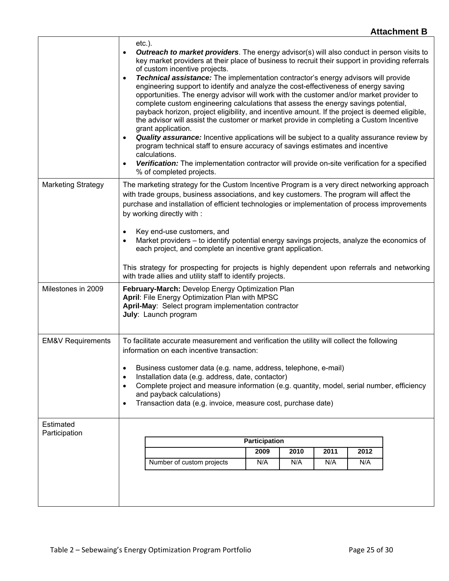|                              | $etc.$ ).<br>$\bullet$<br>$\bullet$<br>$\bullet$                                                                                                                                                                                                                                                                                                                                                                                                                                                              | <b>Outreach to market providers</b> . The energy advisor(s) will also conduct in person visits to<br>key market providers at their place of business to recruit their support in providing referrals<br>of custom incentive projects.<br><b>Technical assistance:</b> The implementation contractor's energy advisors will provide<br>engineering support to identify and analyze the cost-effectiveness of energy saving<br>opportunities. The energy advisor will work with the customer and/or market provider to<br>complete custom engineering calculations that assess the energy savings potential,<br>payback horizon, project eligibility, and incentive amount. If the project is deemed eligible,<br>the advisor will assist the customer or market provide in completing a Custom Incentive<br>grant application.<br><b>Quality assurance:</b> Incentive applications will be subject to a quality assurance review by<br>program technical staff to ensure accuracy of savings estimates and incentive<br>calculations.<br>Verification: The implementation contractor will provide on-site verification for a specified<br>% of completed projects. |  |                      |      |      |      |  |  |
|------------------------------|---------------------------------------------------------------------------------------------------------------------------------------------------------------------------------------------------------------------------------------------------------------------------------------------------------------------------------------------------------------------------------------------------------------------------------------------------------------------------------------------------------------|-------------------------------------------------------------------------------------------------------------------------------------------------------------------------------------------------------------------------------------------------------------------------------------------------------------------------------------------------------------------------------------------------------------------------------------------------------------------------------------------------------------------------------------------------------------------------------------------------------------------------------------------------------------------------------------------------------------------------------------------------------------------------------------------------------------------------------------------------------------------------------------------------------------------------------------------------------------------------------------------------------------------------------------------------------------------------------------------------------------------------------------------------------------------|--|----------------------|------|------|------|--|--|
| <b>Marketing Strategy</b>    | $\bullet$<br>$\bullet$                                                                                                                                                                                                                                                                                                                                                                                                                                                                                        | The marketing strategy for the Custom Incentive Program is a very direct networking approach<br>with trade groups, business associations, and key customers. The program will affect the<br>purchase and installation of efficient technologies or implementation of process improvements<br>by working directly with :<br>Key end-use customers, and<br>Market providers - to identify potential energy savings projects, analyze the economics of<br>each project, and complete an incentive grant application.<br>This strategy for prospecting for projects is highly dependent upon referrals and networking<br>with trade allies and utility staff to identify projects.                                                                                                                                                                                                                                                                                                                                                                                                                                                                                    |  |                      |      |      |      |  |  |
| Milestones in 2009           |                                                                                                                                                                                                                                                                                                                                                                                                                                                                                                               | February-March: Develop Energy Optimization Plan<br>April: File Energy Optimization Plan with MPSC<br>April-May: Select program implementation contractor<br>July: Launch program                                                                                                                                                                                                                                                                                                                                                                                                                                                                                                                                                                                                                                                                                                                                                                                                                                                                                                                                                                                 |  |                      |      |      |      |  |  |
| <b>EM&amp;V Requirements</b> | To facilitate accurate measurement and verification the utility will collect the following<br>information on each incentive transaction:<br>Business customer data (e.g. name, address, telephone, e-mail)<br>$\bullet$<br>Installation data (e.g. address, date, contactor)<br>$\bullet$<br>Complete project and measure information (e.g. quantity, model, serial number, efficiency<br>$\bullet$<br>and payback calculations)<br>Transaction data (e.g. invoice, measure cost, purchase date)<br>$\bullet$ |                                                                                                                                                                                                                                                                                                                                                                                                                                                                                                                                                                                                                                                                                                                                                                                                                                                                                                                                                                                                                                                                                                                                                                   |  |                      |      |      |      |  |  |
| Estimated                    |                                                                                                                                                                                                                                                                                                                                                                                                                                                                                                               |                                                                                                                                                                                                                                                                                                                                                                                                                                                                                                                                                                                                                                                                                                                                                                                                                                                                                                                                                                                                                                                                                                                                                                   |  |                      |      |      |      |  |  |
| Participation                |                                                                                                                                                                                                                                                                                                                                                                                                                                                                                                               |                                                                                                                                                                                                                                                                                                                                                                                                                                                                                                                                                                                                                                                                                                                                                                                                                                                                                                                                                                                                                                                                                                                                                                   |  | <b>Participation</b> |      |      |      |  |  |
|                              |                                                                                                                                                                                                                                                                                                                                                                                                                                                                                                               |                                                                                                                                                                                                                                                                                                                                                                                                                                                                                                                                                                                                                                                                                                                                                                                                                                                                                                                                                                                                                                                                                                                                                                   |  | 2009                 | 2010 | 2011 | 2012 |  |  |
|                              |                                                                                                                                                                                                                                                                                                                                                                                                                                                                                                               | Number of custom projects                                                                                                                                                                                                                                                                                                                                                                                                                                                                                                                                                                                                                                                                                                                                                                                                                                                                                                                                                                                                                                                                                                                                         |  | N/A                  | N/A  | N/A  | N/A  |  |  |
|                              |                                                                                                                                                                                                                                                                                                                                                                                                                                                                                                               |                                                                                                                                                                                                                                                                                                                                                                                                                                                                                                                                                                                                                                                                                                                                                                                                                                                                                                                                                                                                                                                                                                                                                                   |  |                      |      |      |      |  |  |

 $\overline{1}$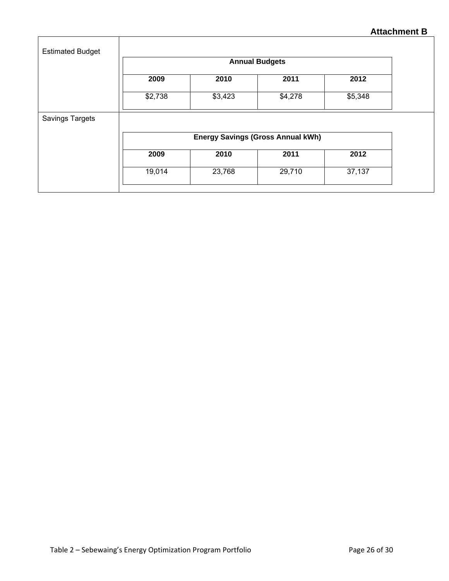| <b>Estimated Budget</b> |                       |         |                                          |         |  |  |  |
|-------------------------|-----------------------|---------|------------------------------------------|---------|--|--|--|
|                         | <b>Annual Budgets</b> |         |                                          |         |  |  |  |
|                         | 2009                  | 2010    | 2011                                     | 2012    |  |  |  |
|                         | \$2,738               | \$3,423 | \$4,278                                  | \$5,348 |  |  |  |
| Savings Targets         |                       |         |                                          |         |  |  |  |
|                         |                       |         | <b>Energy Savings (Gross Annual kWh)</b> |         |  |  |  |
|                         | 2009                  | 2010    | 2011                                     | 2012    |  |  |  |
|                         | 19,014                | 23,768  | 29,710                                   | 37,137  |  |  |  |
|                         |                       |         |                                          |         |  |  |  |

 $\overline{1}$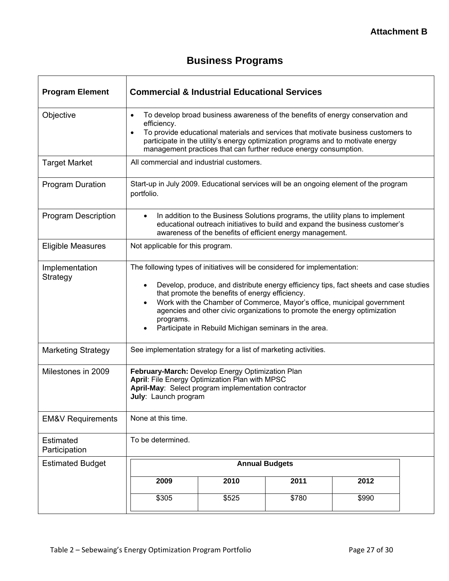# **Business Programs**

| <b>Program Element</b>       | <b>Commercial &amp; Industrial Educational Services</b>                                                                                                                                                                                                                                                                                                                                                                                             |                                                                                                                                                                                                                             |                       |       |  |  |  |  |
|------------------------------|-----------------------------------------------------------------------------------------------------------------------------------------------------------------------------------------------------------------------------------------------------------------------------------------------------------------------------------------------------------------------------------------------------------------------------------------------------|-----------------------------------------------------------------------------------------------------------------------------------------------------------------------------------------------------------------------------|-----------------------|-------|--|--|--|--|
| Objective                    | To develop broad business awareness of the benefits of energy conservation and<br>$\bullet$<br>efficiency.<br>To provide educational materials and services that motivate business customers to<br>$\bullet$<br>participate in the utility's energy optimization programs and to motivate energy<br>management practices that can further reduce energy consumption.                                                                                |                                                                                                                                                                                                                             |                       |       |  |  |  |  |
| <b>Target Market</b>         |                                                                                                                                                                                                                                                                                                                                                                                                                                                     | All commercial and industrial customers.                                                                                                                                                                                    |                       |       |  |  |  |  |
| <b>Program Duration</b>      | portfolio.                                                                                                                                                                                                                                                                                                                                                                                                                                          | Start-up in July 2009. Educational services will be an ongoing element of the program                                                                                                                                       |                       |       |  |  |  |  |
| <b>Program Description</b>   | $\bullet$                                                                                                                                                                                                                                                                                                                                                                                                                                           | In addition to the Business Solutions programs, the utility plans to implement<br>educational outreach initiatives to build and expand the business customer's<br>awareness of the benefits of efficient energy management. |                       |       |  |  |  |  |
| <b>Eligible Measures</b>     | Not applicable for this program.                                                                                                                                                                                                                                                                                                                                                                                                                    |                                                                                                                                                                                                                             |                       |       |  |  |  |  |
| Implementation<br>Strategy   | The following types of initiatives will be considered for implementation:<br>Develop, produce, and distribute energy efficiency tips, fact sheets and case studies<br>that promote the benefits of energy efficiency.<br>Work with the Chamber of Commerce, Mayor's office, municipal government<br>agencies and other civic organizations to promote the energy optimization<br>programs.<br>Participate in Rebuild Michigan seminars in the area. |                                                                                                                                                                                                                             |                       |       |  |  |  |  |
| <b>Marketing Strategy</b>    | See implementation strategy for a list of marketing activities.                                                                                                                                                                                                                                                                                                                                                                                     |                                                                                                                                                                                                                             |                       |       |  |  |  |  |
| Milestones in 2009           | February-March: Develop Energy Optimization Plan<br>April: File Energy Optimization Plan with MPSC<br>April-May: Select program implementation contractor<br>July: Launch program                                                                                                                                                                                                                                                                   |                                                                                                                                                                                                                             |                       |       |  |  |  |  |
| <b>EM&amp;V Requirements</b> | None at this time.                                                                                                                                                                                                                                                                                                                                                                                                                                  |                                                                                                                                                                                                                             |                       |       |  |  |  |  |
| Estimated<br>Participation   | To be determined.                                                                                                                                                                                                                                                                                                                                                                                                                                   |                                                                                                                                                                                                                             |                       |       |  |  |  |  |
| <b>Estimated Budget</b>      |                                                                                                                                                                                                                                                                                                                                                                                                                                                     |                                                                                                                                                                                                                             | <b>Annual Budgets</b> |       |  |  |  |  |
|                              | 2009                                                                                                                                                                                                                                                                                                                                                                                                                                                | 2010                                                                                                                                                                                                                        | 2011                  | 2012  |  |  |  |  |
|                              | \$305                                                                                                                                                                                                                                                                                                                                                                                                                                               | \$525                                                                                                                                                                                                                       | \$780                 | \$990 |  |  |  |  |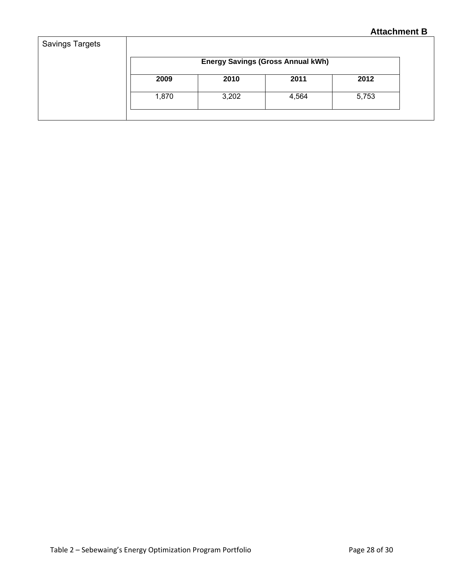|       |       | <b>Energy Savings (Gross Annual kWh)</b> |       |
|-------|-------|------------------------------------------|-------|
| 2009  | 2010  | 2011                                     | 2012  |
| 1,870 | 3,202 | 4,564                                    | 5,753 |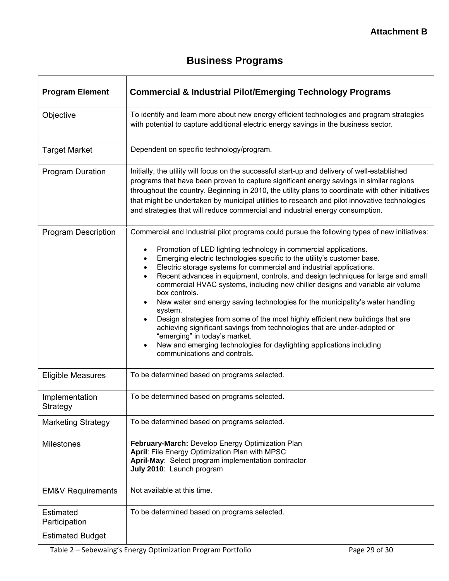# **Business Programs**

| <b>Program Element</b>            | <b>Commercial &amp; Industrial Pilot/Emerging Technology Programs</b>                                                                                                                                                                                                                                                                                                                                                                                                                                                                                                                                                                                                                                                                                                                                                                                                                                              |
|-----------------------------------|--------------------------------------------------------------------------------------------------------------------------------------------------------------------------------------------------------------------------------------------------------------------------------------------------------------------------------------------------------------------------------------------------------------------------------------------------------------------------------------------------------------------------------------------------------------------------------------------------------------------------------------------------------------------------------------------------------------------------------------------------------------------------------------------------------------------------------------------------------------------------------------------------------------------|
| Objective                         | To identify and learn more about new energy efficient technologies and program strategies<br>with potential to capture additional electric energy savings in the business sector.                                                                                                                                                                                                                                                                                                                                                                                                                                                                                                                                                                                                                                                                                                                                  |
| <b>Target Market</b>              | Dependent on specific technology/program.                                                                                                                                                                                                                                                                                                                                                                                                                                                                                                                                                                                                                                                                                                                                                                                                                                                                          |
| <b>Program Duration</b>           | Initially, the utility will focus on the successful start-up and delivery of well-established<br>programs that have been proven to capture significant energy savings in similar regions<br>throughout the country. Beginning in 2010, the utility plans to coordinate with other initiatives<br>that might be undertaken by municipal utilities to research and pilot innovative technologies<br>and strategies that will reduce commercial and industrial energy consumption.                                                                                                                                                                                                                                                                                                                                                                                                                                    |
| <b>Program Description</b>        | Commercial and Industrial pilot programs could pursue the following types of new initiatives:<br>Promotion of LED lighting technology in commercial applications.<br>Emerging electric technologies specific to the utility's customer base.<br>Electric storage systems for commercial and industrial applications.<br>Recent advances in equipment, controls, and design techniques for large and small<br>commercial HVAC systems, including new chiller designs and variable air volume<br>box controls.<br>New water and energy saving technologies for the municipality's water handling<br>system.<br>Design strategies from some of the most highly efficient new buildings that are<br>achieving significant savings from technologies that are under-adopted or<br>"emerging" in today's market.<br>New and emerging technologies for daylighting applications including<br>communications and controls. |
| <b>Eligible Measures</b>          | To be determined based on programs selected.                                                                                                                                                                                                                                                                                                                                                                                                                                                                                                                                                                                                                                                                                                                                                                                                                                                                       |
| Implementation<br>Strategy        | To be determined based on programs selected.                                                                                                                                                                                                                                                                                                                                                                                                                                                                                                                                                                                                                                                                                                                                                                                                                                                                       |
| <b>Marketing Strategy</b>         | To be determined based on programs selected.                                                                                                                                                                                                                                                                                                                                                                                                                                                                                                                                                                                                                                                                                                                                                                                                                                                                       |
| <b>Milestones</b>                 | February-March: Develop Energy Optimization Plan<br>April: File Energy Optimization Plan with MPSC<br>April-May: Select program implementation contractor<br>July 2010: Launch program                                                                                                                                                                                                                                                                                                                                                                                                                                                                                                                                                                                                                                                                                                                             |
| <b>EM&amp;V Requirements</b>      | Not available at this time.                                                                                                                                                                                                                                                                                                                                                                                                                                                                                                                                                                                                                                                                                                                                                                                                                                                                                        |
| <b>Estimated</b><br>Participation | To be determined based on programs selected.                                                                                                                                                                                                                                                                                                                                                                                                                                                                                                                                                                                                                                                                                                                                                                                                                                                                       |
| <b>Estimated Budget</b>           |                                                                                                                                                                                                                                                                                                                                                                                                                                                                                                                                                                                                                                                                                                                                                                                                                                                                                                                    |